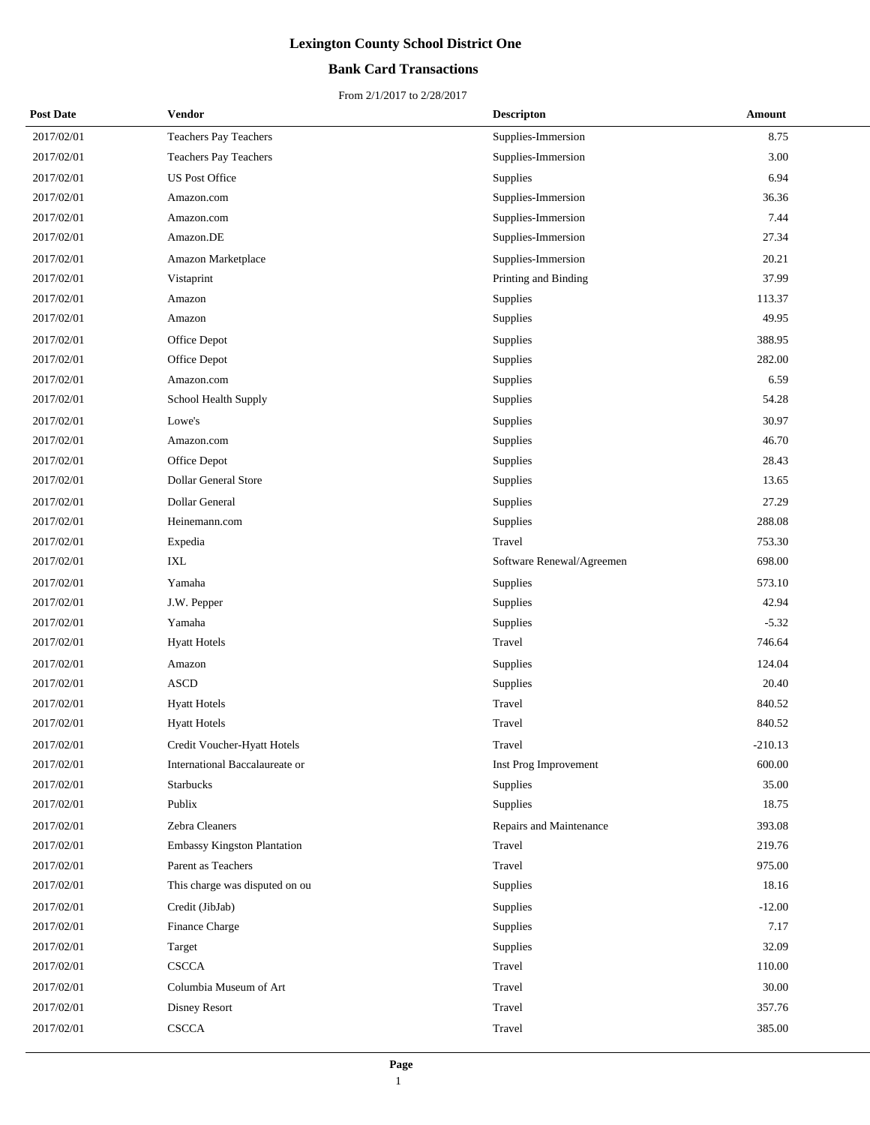## **Bank Card Transactions**

| <b>Post Date</b> | Vendor                             | <b>Descripton</b>         | Amount    |
|------------------|------------------------------------|---------------------------|-----------|
| 2017/02/01       | Teachers Pay Teachers              | Supplies-Immersion        | 8.75      |
| 2017/02/01       | <b>Teachers Pay Teachers</b>       | Supplies-Immersion        | 3.00      |
| 2017/02/01       | <b>US Post Office</b>              | <b>Supplies</b>           | 6.94      |
| 2017/02/01       | Amazon.com                         | Supplies-Immersion        | 36.36     |
| 2017/02/01       | Amazon.com                         | Supplies-Immersion        | 7.44      |
| 2017/02/01       | Amazon.DE                          | Supplies-Immersion        | 27.34     |
| 2017/02/01       | Amazon Marketplace                 | Supplies-Immersion        | 20.21     |
| 2017/02/01       | Vistaprint                         | Printing and Binding      | 37.99     |
| 2017/02/01       | Amazon                             | Supplies                  | 113.37    |
| 2017/02/01       | Amazon                             | Supplies                  | 49.95     |
| 2017/02/01       | Office Depot                       | Supplies                  | 388.95    |
| 2017/02/01       | Office Depot                       | Supplies                  | 282.00    |
| 2017/02/01       | Amazon.com                         | Supplies                  | 6.59      |
| 2017/02/01       | School Health Supply               | Supplies                  | 54.28     |
| 2017/02/01       | Lowe's                             | Supplies                  | 30.97     |
| 2017/02/01       | Amazon.com                         | Supplies                  | 46.70     |
| 2017/02/01       | Office Depot                       | Supplies                  | 28.43     |
| 2017/02/01       | Dollar General Store               | Supplies                  | 13.65     |
| 2017/02/01       | Dollar General                     | Supplies                  | 27.29     |
| 2017/02/01       | Heinemann.com                      | Supplies                  | 288.08    |
| 2017/02/01       | Expedia                            | Travel                    | 753.30    |
| 2017/02/01       | <b>IXL</b>                         | Software Renewal/Agreemen | 698.00    |
| 2017/02/01       | Yamaha                             | Supplies                  | 573.10    |
| 2017/02/01       | J.W. Pepper                        | Supplies                  | 42.94     |
| 2017/02/01       | Yamaha                             | Supplies                  | $-5.32$   |
| 2017/02/01       | <b>Hyatt Hotels</b>                | Travel                    | 746.64    |
| 2017/02/01       | Amazon                             | Supplies                  | 124.04    |
| 2017/02/01       | <b>ASCD</b>                        | Supplies                  | 20.40     |
| 2017/02/01       | <b>Hyatt Hotels</b>                | Travel                    | 840.52    |
| 2017/02/01       | <b>Hyatt Hotels</b>                | Travel                    | 840.52    |
| 2017/02/01       | Credit Voucher-Hyatt Hotels        | Travel                    | $-210.13$ |
| 2017/02/01       | International Baccalaureate or     | Inst Prog Improvement     | 600.00    |
| 2017/02/01       | <b>Starbucks</b>                   | Supplies                  | 35.00     |
| 2017/02/01       | Publix                             | Supplies                  | 18.75     |
| 2017/02/01       | Zebra Cleaners                     | Repairs and Maintenance   | 393.08    |
| 2017/02/01       | <b>Embassy Kingston Plantation</b> | Travel                    | 219.76    |
| 2017/02/01       | Parent as Teachers                 | Travel                    | 975.00    |
| 2017/02/01       | This charge was disputed on ou     | Supplies                  | 18.16     |
| 2017/02/01       | Credit (JibJab)                    | Supplies                  | $-12.00$  |
| 2017/02/01       | Finance Charge                     | Supplies                  | 7.17      |
| 2017/02/01       | Target                             | Supplies                  | 32.09     |
| 2017/02/01       | <b>CSCCA</b>                       | Travel                    | 110.00    |
| 2017/02/01       | Columbia Museum of Art             | Travel                    | 30.00     |
| 2017/02/01       | Disney Resort                      | Travel                    | 357.76    |
| 2017/02/01       | <b>CSCCA</b>                       | Travel                    | 385.00    |
|                  |                                    |                           |           |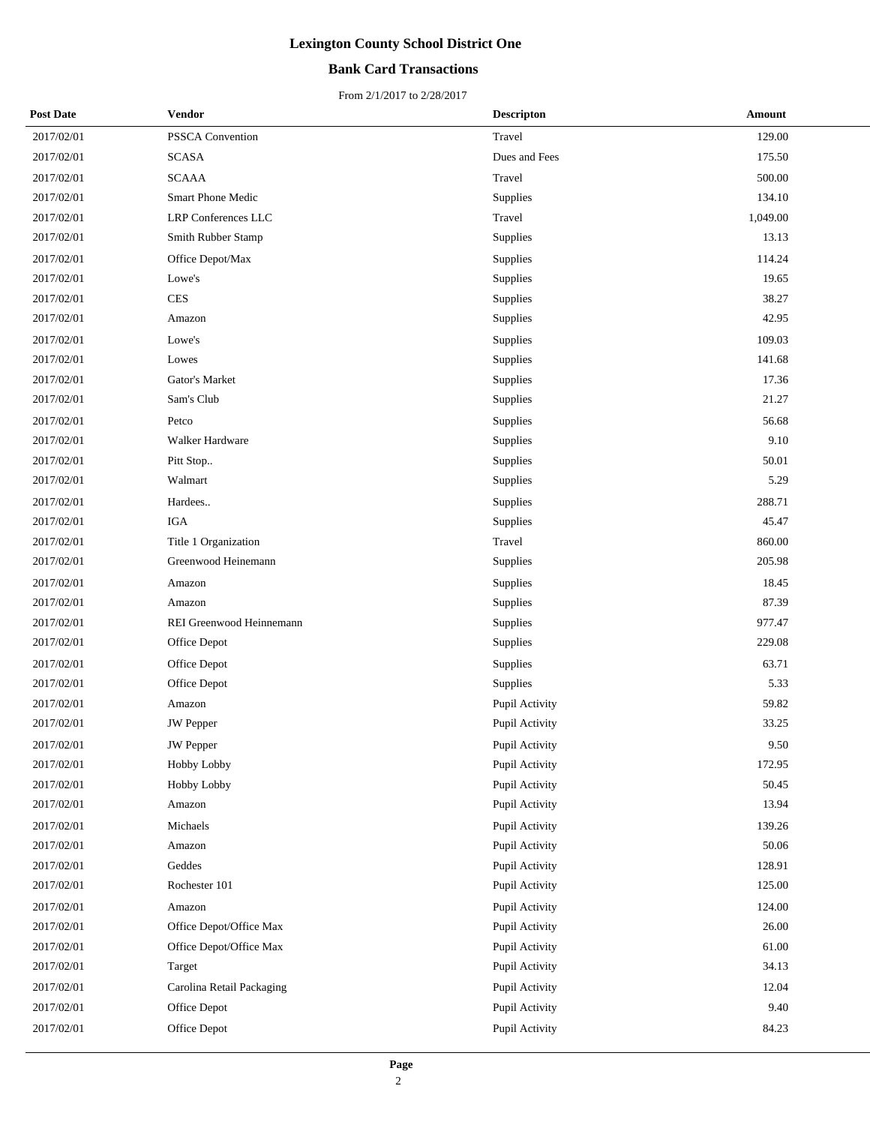## **Bank Card Transactions**

| <b>Post Date</b> | Vendor                    | <b>Descripton</b> | Amount   |
|------------------|---------------------------|-------------------|----------|
| 2017/02/01       | PSSCA Convention          | Travel            | 129.00   |
| 2017/02/01       | <b>SCASA</b>              | Dues and Fees     | 175.50   |
| 2017/02/01       | <b>SCAAA</b>              | Travel            | 500.00   |
| 2017/02/01       | <b>Smart Phone Medic</b>  | Supplies          | 134.10   |
| 2017/02/01       | LRP Conferences LLC       | Travel            | 1,049.00 |
| 2017/02/01       | Smith Rubber Stamp        | Supplies          | 13.13    |
| 2017/02/01       | Office Depot/Max          | Supplies          | 114.24   |
| 2017/02/01       | Lowe's                    | Supplies          | 19.65    |
| 2017/02/01       | <b>CES</b>                | Supplies          | 38.27    |
| 2017/02/01       | Amazon                    | Supplies          | 42.95    |
| 2017/02/01       | Lowe's                    | Supplies          | 109.03   |
| 2017/02/01       | Lowes                     | Supplies          | 141.68   |
| 2017/02/01       | Gator's Market            | Supplies          | 17.36    |
| 2017/02/01       | Sam's Club                | Supplies          | 21.27    |
| 2017/02/01       | Petco                     | Supplies          | 56.68    |
| 2017/02/01       | Walker Hardware           | Supplies          | 9.10     |
| 2017/02/01       | Pitt Stop                 | Supplies          | 50.01    |
| 2017/02/01       | Walmart                   | Supplies          | 5.29     |
| 2017/02/01       | Hardees                   | Supplies          | 288.71   |
| 2017/02/01       | <b>IGA</b>                | Supplies          | 45.47    |
| 2017/02/01       | Title 1 Organization      | Travel            | 860.00   |
| 2017/02/01       | Greenwood Heinemann       | Supplies          | 205.98   |
| 2017/02/01       | Amazon                    | Supplies          | 18.45    |
| 2017/02/01       | Amazon                    | Supplies          | 87.39    |
| 2017/02/01       | REI Greenwood Heinnemann  | Supplies          | 977.47   |
| 2017/02/01       | Office Depot              | Supplies          | 229.08   |
| 2017/02/01       | Office Depot              | Supplies          | 63.71    |
| 2017/02/01       | Office Depot              | Supplies          | 5.33     |
| 2017/02/01       | Amazon                    | Pupil Activity    | 59.82    |
| 2017/02/01       | JW Pepper                 | Pupil Activity    | 33.25    |
| 2017/02/01       | <b>JW</b> Pepper          | Pupil Activity    | 9.50     |
| 2017/02/01       | Hobby Lobby               | Pupil Activity    | 172.95   |
| 2017/02/01       | Hobby Lobby               | Pupil Activity    | 50.45    |
| 2017/02/01       | Amazon                    | Pupil Activity    | 13.94    |
| 2017/02/01       | Michaels                  | Pupil Activity    | 139.26   |
| 2017/02/01       | Amazon                    | Pupil Activity    | 50.06    |
| 2017/02/01       | Geddes                    | Pupil Activity    | 128.91   |
| 2017/02/01       | Rochester 101             | Pupil Activity    | 125.00   |
| 2017/02/01       | Amazon                    | Pupil Activity    | 124.00   |
| 2017/02/01       | Office Depot/Office Max   | Pupil Activity    | 26.00    |
| 2017/02/01       | Office Depot/Office Max   | Pupil Activity    | 61.00    |
| 2017/02/01       | Target                    | Pupil Activity    | 34.13    |
| 2017/02/01       | Carolina Retail Packaging | Pupil Activity    | 12.04    |
| 2017/02/01       | Office Depot              | Pupil Activity    | 9.40     |
| 2017/02/01       | Office Depot              | Pupil Activity    | 84.23    |
|                  |                           |                   |          |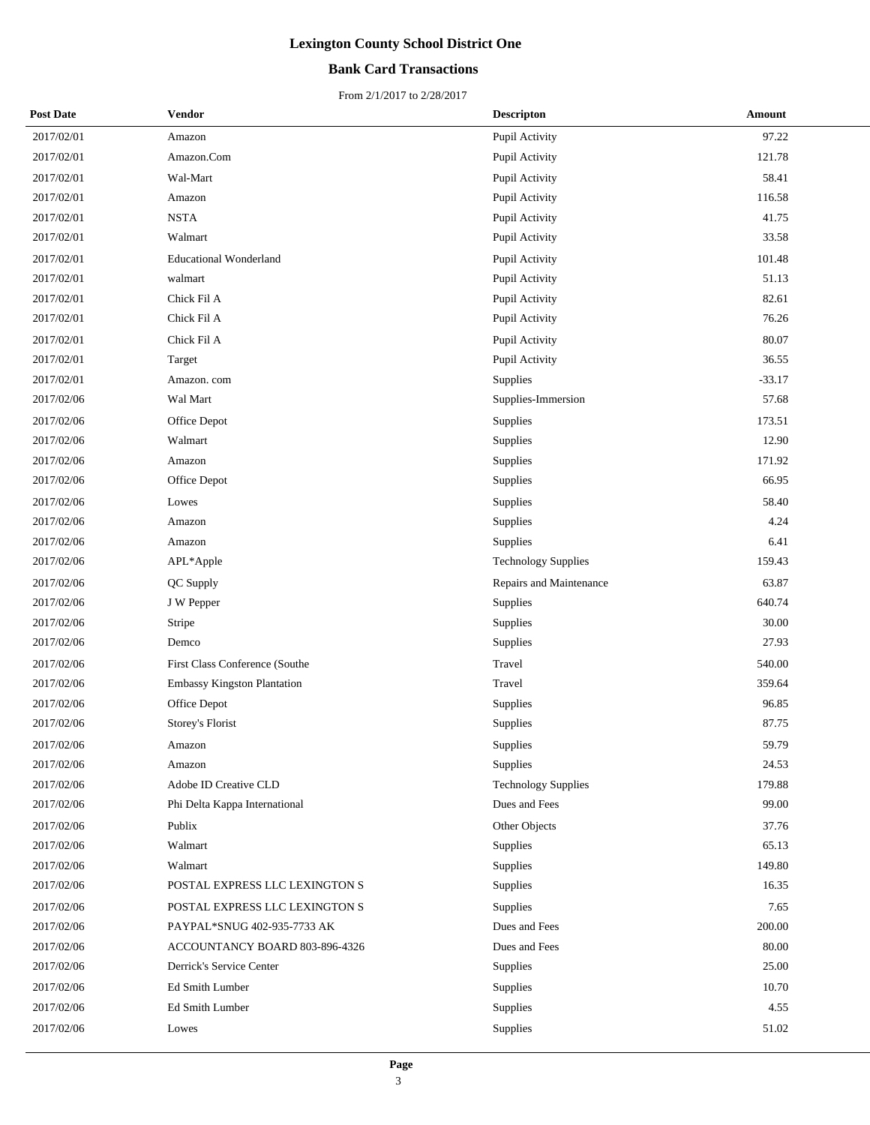## **Bank Card Transactions**

| <b>Post Date</b> | Vendor                         | <b>Descripton</b>          | Amount   |
|------------------|--------------------------------|----------------------------|----------|
| 2017/02/01       | Amazon                         | Pupil Activity             | 97.22    |
| 2017/02/01       | Amazon.Com                     | Pupil Activity             | 121.78   |
| 2017/02/01       | Wal-Mart                       | Pupil Activity             | 58.41    |
| 2017/02/01       | Amazon                         | Pupil Activity             | 116.58   |
| 2017/02/01       | $\operatorname{NSTA}$          | Pupil Activity             | 41.75    |
| 2017/02/01       | Walmart                        | Pupil Activity             | 33.58    |
| 2017/02/01       | <b>Educational Wonderland</b>  | Pupil Activity             | 101.48   |
| 2017/02/01       | walmart                        | Pupil Activity             | 51.13    |
| 2017/02/01       | Chick Fil A                    | Pupil Activity             | 82.61    |
| 2017/02/01       | Chick Fil A                    | Pupil Activity             | 76.26    |
| 2017/02/01       | Chick Fil A                    | Pupil Activity             | 80.07    |
| 2017/02/01       | Target                         | Pupil Activity             | 36.55    |
| 2017/02/01       | Amazon. com                    | Supplies                   | $-33.17$ |
| 2017/02/06       | Wal Mart                       | Supplies-Immersion         | 57.68    |
| 2017/02/06       | Office Depot                   | Supplies                   | 173.51   |
| 2017/02/06       | Walmart                        | Supplies                   | 12.90    |
| 2017/02/06       | Amazon                         | Supplies                   | 171.92   |
| 2017/02/06       | Office Depot                   | Supplies                   | 66.95    |
| 2017/02/06       | Lowes                          | Supplies                   | 58.40    |
| 2017/02/06       | Amazon                         | Supplies                   | 4.24     |
| 2017/02/06       | Amazon                         | Supplies                   | 6.41     |
| 2017/02/06       | APL*Apple                      | <b>Technology Supplies</b> | 159.43   |
| 2017/02/06       | QC Supply                      | Repairs and Maintenance    | 63.87    |
| 2017/02/06       | J W Pepper                     | Supplies                   | 640.74   |
| 2017/02/06       | Stripe                         | Supplies                   | 30.00    |
| 2017/02/06       | Demco                          | Supplies                   | 27.93    |
| 2017/02/06       | First Class Conference (Southe | Travel                     | 540.00   |
| 2017/02/06       | Embassy Kingston Plantation    | Travel                     | 359.64   |
| 2017/02/06       | Office Depot                   | Supplies                   | 96.85    |
| 2017/02/06       | Storey's Florist               | Supplies                   | 87.75    |
| 2017/02/06       | Amazon                         | Supplies                   | 59.79    |
| 2017/02/06       | Amazon                         | Supplies                   | 24.53    |
| 2017/02/06       | Adobe ID Creative CLD          | <b>Technology Supplies</b> | 179.88   |
| 2017/02/06       | Phi Delta Kappa International  | Dues and Fees              | 99.00    |
| 2017/02/06       | Publix                         | Other Objects              | 37.76    |
| 2017/02/06       | Walmart                        | Supplies                   | 65.13    |
| 2017/02/06       | Walmart                        | Supplies                   | 149.80   |
| 2017/02/06       | POSTAL EXPRESS LLC LEXINGTON S | Supplies                   | 16.35    |
| 2017/02/06       | POSTAL EXPRESS LLC LEXINGTON S | Supplies                   | 7.65     |
| 2017/02/06       | PAYPAL*SNUG 402-935-7733 AK    | Dues and Fees              | 200.00   |
| 2017/02/06       | ACCOUNTANCY BOARD 803-896-4326 | Dues and Fees              | 80.00    |
| 2017/02/06       | Derrick's Service Center       | Supplies                   | 25.00    |
| 2017/02/06       | Ed Smith Lumber                | Supplies                   | 10.70    |
| 2017/02/06       | Ed Smith Lumber                | Supplies                   | 4.55     |
| 2017/02/06       | Lowes                          | Supplies                   | 51.02    |
|                  |                                |                            |          |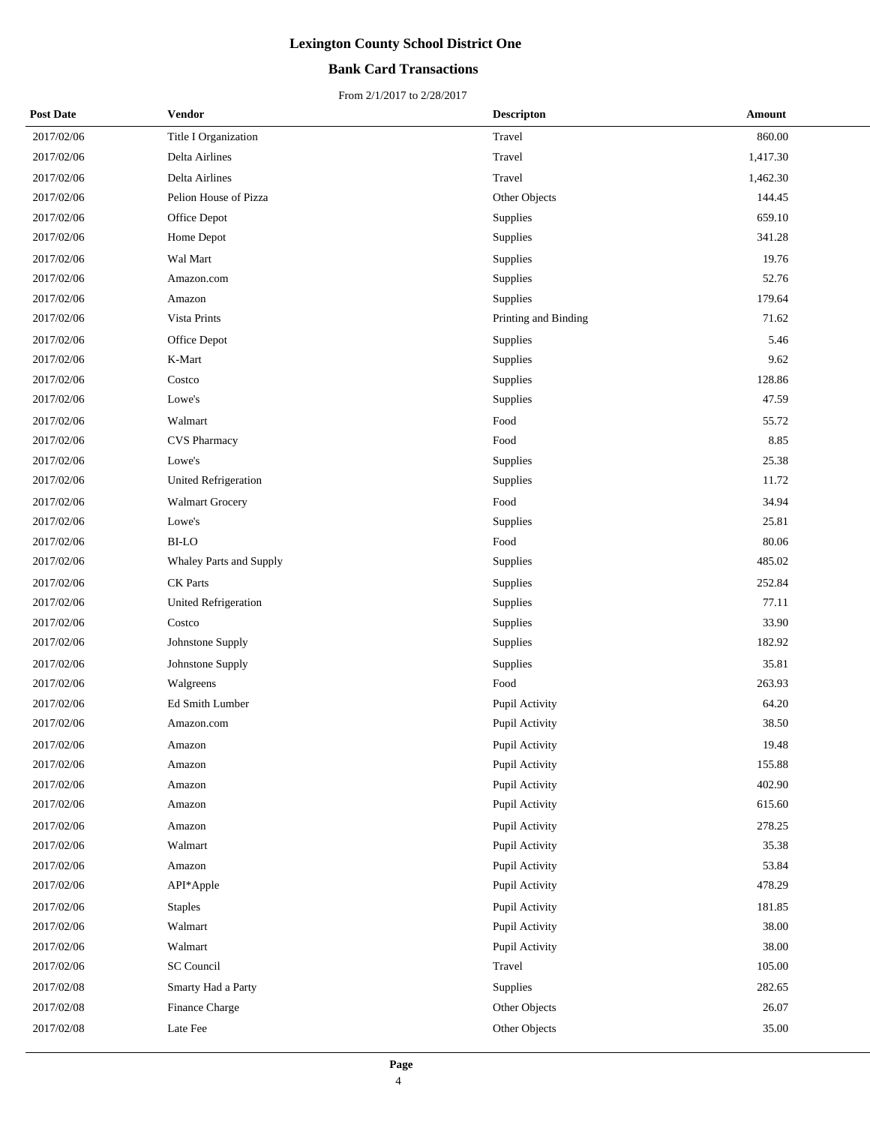## **Bank Card Transactions**

| <b>Post Date</b> | Vendor                      | <b>Descripton</b>    | Amount   |
|------------------|-----------------------------|----------------------|----------|
| 2017/02/06       | Title I Organization        | Travel               | 860.00   |
| 2017/02/06       | Delta Airlines              | Travel               | 1,417.30 |
| 2017/02/06       | Delta Airlines              | Travel               | 1,462.30 |
| 2017/02/06       | Pelion House of Pizza       | Other Objects        | 144.45   |
| 2017/02/06       | Office Depot                | Supplies             | 659.10   |
| 2017/02/06       | Home Depot                  | Supplies             | 341.28   |
| 2017/02/06       | Wal Mart                    | Supplies             | 19.76    |
| 2017/02/06       | Amazon.com                  | Supplies             | 52.76    |
| 2017/02/06       | Amazon                      | Supplies             | 179.64   |
| 2017/02/06       | Vista Prints                | Printing and Binding | 71.62    |
| 2017/02/06       | Office Depot                | Supplies             | 5.46     |
| 2017/02/06       | K-Mart                      | Supplies             | 9.62     |
| 2017/02/06       | Costco                      | Supplies             | 128.86   |
| 2017/02/06       | Lowe's                      | Supplies             | 47.59    |
| 2017/02/06       | Walmart                     | Food                 | 55.72    |
| 2017/02/06       | <b>CVS Pharmacy</b>         | Food                 | 8.85     |
| 2017/02/06       | Lowe's                      | Supplies             | 25.38    |
| 2017/02/06       | United Refrigeration        | Supplies             | 11.72    |
| 2017/02/06       | <b>Walmart Grocery</b>      | Food                 | 34.94    |
| 2017/02/06       | Lowe's                      | Supplies             | 25.81    |
| 2017/02/06       | <b>BI-LO</b>                | Food                 | 80.06    |
| 2017/02/06       | Whaley Parts and Supply     | Supplies             | 485.02   |
| 2017/02/06       | <b>CK</b> Parts             | Supplies             | 252.84   |
| 2017/02/06       | <b>United Refrigeration</b> | Supplies             | 77.11    |
| 2017/02/06       | Costco                      | Supplies             | 33.90    |
| 2017/02/06       | Johnstone Supply            | Supplies             | 182.92   |
| 2017/02/06       | Johnstone Supply            | Supplies             | 35.81    |
| 2017/02/06       | Walgreens                   | Food                 | 263.93   |
| 2017/02/06       | Ed Smith Lumber             | Pupil Activity       | 64.20    |
| 2017/02/06       | Amazon.com                  | Pupil Activity       | 38.50    |
| 2017/02/06       | Amazon                      | Pupil Activity       | 19.48    |
| 2017/02/06       | Amazon                      | Pupil Activity       | 155.88   |
| 2017/02/06       | Amazon                      | Pupil Activity       | 402.90   |
| 2017/02/06       | Amazon                      | Pupil Activity       | 615.60   |
| 2017/02/06       | Amazon                      | Pupil Activity       | 278.25   |
| 2017/02/06       | Walmart                     | Pupil Activity       | 35.38    |
| 2017/02/06       | Amazon                      | Pupil Activity       | 53.84    |
| 2017/02/06       | API*Apple                   | Pupil Activity       | 478.29   |
| 2017/02/06       | <b>Staples</b>              | Pupil Activity       | 181.85   |
| 2017/02/06       | Walmart                     | Pupil Activity       | 38.00    |
| 2017/02/06       | Walmart                     | Pupil Activity       | 38.00    |
| 2017/02/06       | SC Council                  | Travel               | 105.00   |
| 2017/02/08       | Smarty Had a Party          | Supplies             | 282.65   |
| 2017/02/08       | Finance Charge              | Other Objects        | 26.07    |
| 2017/02/08       | Late Fee                    | Other Objects        | 35.00    |
|                  |                             |                      |          |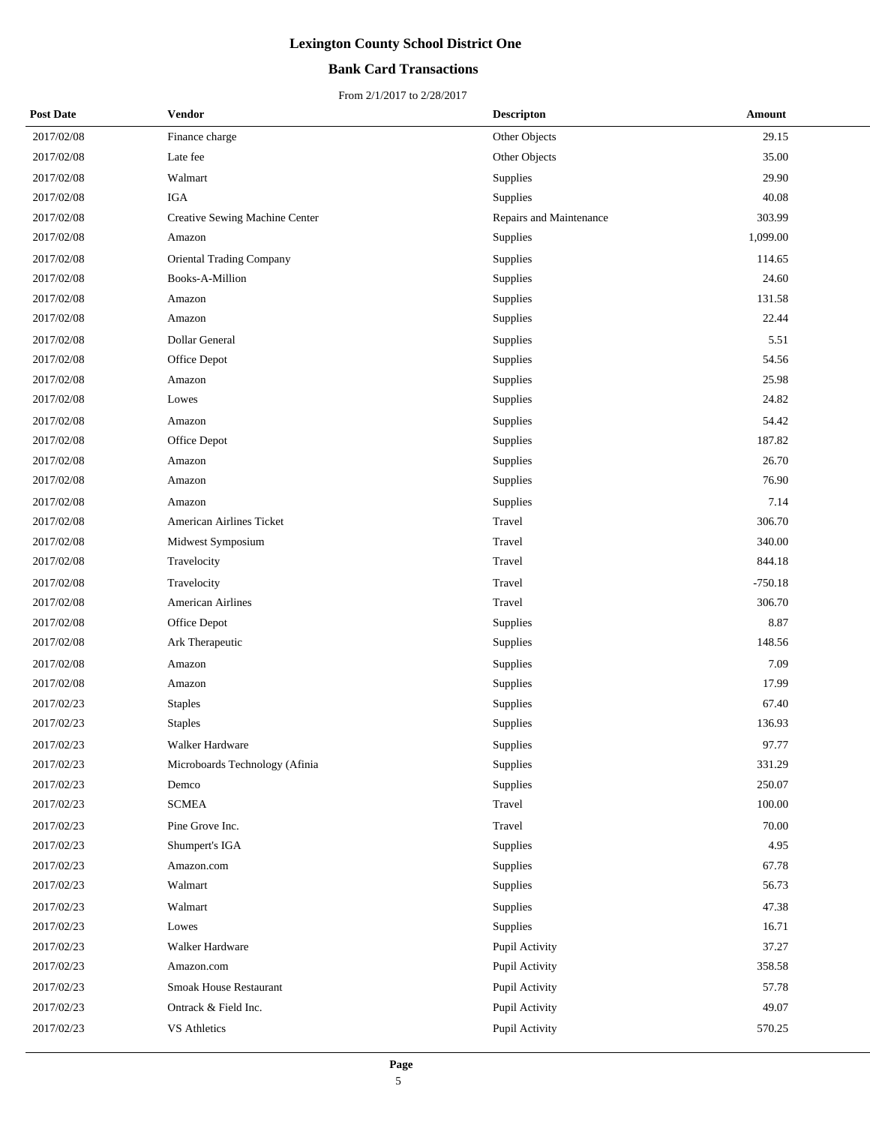## **Bank Card Transactions**

| <b>Post Date</b> | Vendor                          | <b>Descripton</b>       | Amount    |
|------------------|---------------------------------|-------------------------|-----------|
| 2017/02/08       | Finance charge                  | Other Objects           | 29.15     |
| 2017/02/08       | Late fee                        | Other Objects           | 35.00     |
| 2017/02/08       | Walmart                         | Supplies                | 29.90     |
| 2017/02/08       | <b>IGA</b>                      | Supplies                | 40.08     |
| 2017/02/08       | Creative Sewing Machine Center  | Repairs and Maintenance | 303.99    |
| 2017/02/08       | Amazon                          | Supplies                | 1,099.00  |
| 2017/02/08       | <b>Oriental Trading Company</b> | Supplies                | 114.65    |
| 2017/02/08       | Books-A-Million                 | Supplies                | 24.60     |
| 2017/02/08       | Amazon                          | Supplies                | 131.58    |
| 2017/02/08       | Amazon                          | Supplies                | 22.44     |
| 2017/02/08       | Dollar General                  | Supplies                | 5.51      |
| 2017/02/08       | Office Depot                    | Supplies                | 54.56     |
| 2017/02/08       | Amazon                          | Supplies                | 25.98     |
| 2017/02/08       | Lowes                           | Supplies                | 24.82     |
| 2017/02/08       | Amazon                          | Supplies                | 54.42     |
| 2017/02/08       | Office Depot                    | Supplies                | 187.82    |
| 2017/02/08       | Amazon                          | Supplies                | 26.70     |
| 2017/02/08       | Amazon                          | Supplies                | 76.90     |
| 2017/02/08       | Amazon                          | Supplies                | 7.14      |
| 2017/02/08       | American Airlines Ticket        | Travel                  | 306.70    |
| 2017/02/08       | Midwest Symposium               | Travel                  | 340.00    |
| 2017/02/08       | Travelocity                     | Travel                  | 844.18    |
| 2017/02/08       | Travelocity                     | Travel                  | $-750.18$ |
| 2017/02/08       | <b>American Airlines</b>        | Travel                  | 306.70    |
| 2017/02/08       | Office Depot                    | Supplies                | 8.87      |
| 2017/02/08       | Ark Therapeutic                 | Supplies                | 148.56    |
| 2017/02/08       | Amazon                          | Supplies                | 7.09      |
| 2017/02/08       | Amazon                          | Supplies                | 17.99     |
| 2017/02/23       | <b>Staples</b>                  | Supplies                | 67.40     |
| 2017/02/23       | <b>Staples</b>                  | Supplies                | 136.93    |
| 2017/02/23       | Walker Hardware                 | Supplies                | 97.77     |
| 2017/02/23       | Microboards Technology (Afinia  | Supplies                | 331.29    |
| 2017/02/23       | Demco                           | Supplies                | 250.07    |
| 2017/02/23       | <b>SCMEA</b>                    | Travel                  | 100.00    |
| 2017/02/23       | Pine Grove Inc.                 | Travel                  | 70.00     |
| 2017/02/23       | Shumpert's IGA                  | Supplies                | 4.95      |
| 2017/02/23       | Amazon.com                      | Supplies                | 67.78     |
| 2017/02/23       | Walmart                         | Supplies                | 56.73     |
| 2017/02/23       | Walmart                         | Supplies                | 47.38     |
| 2017/02/23       | Lowes                           | Supplies                | 16.71     |
| 2017/02/23       | Walker Hardware                 | Pupil Activity          | 37.27     |
| 2017/02/23       | Amazon.com                      | Pupil Activity          | 358.58    |
| 2017/02/23       | Smoak House Restaurant          | Pupil Activity          | 57.78     |
| 2017/02/23       | Ontrack & Field Inc.            | Pupil Activity          | 49.07     |
| 2017/02/23       | VS Athletics                    | Pupil Activity          | 570.25    |
|                  |                                 |                         |           |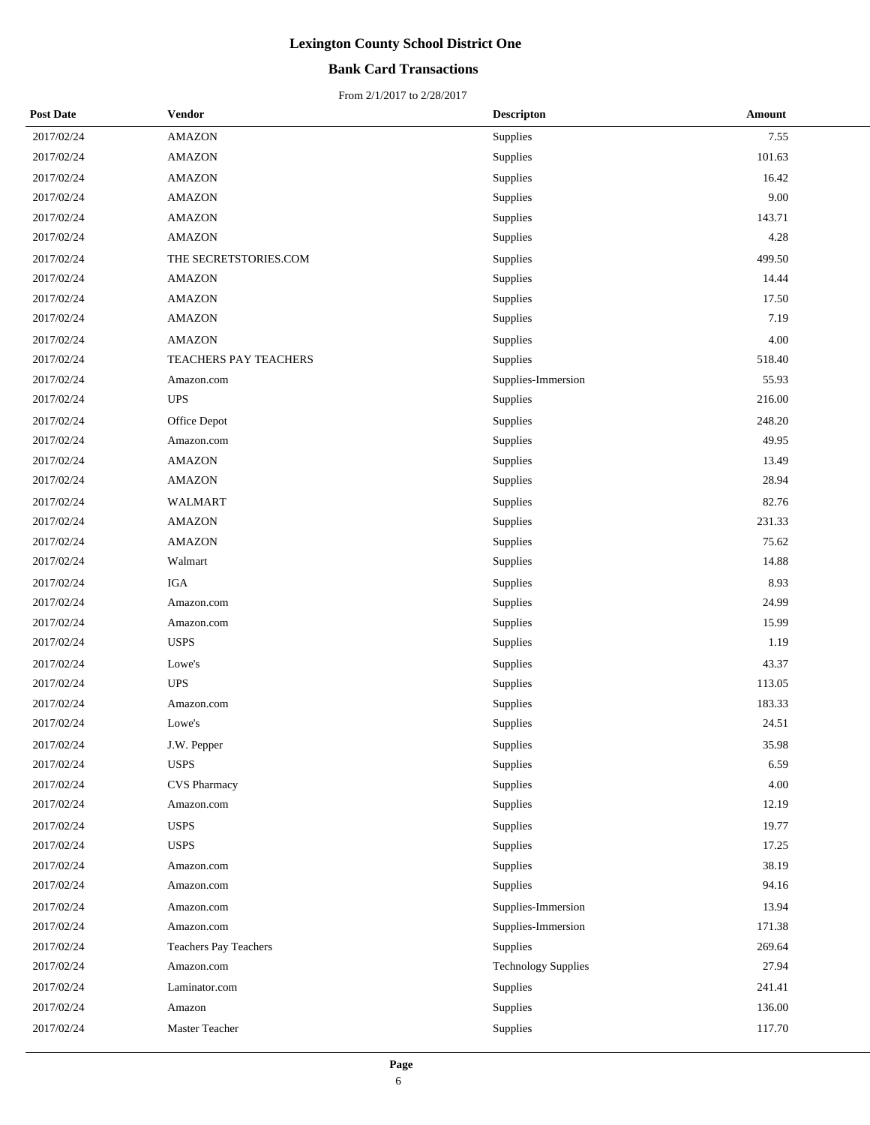## **Bank Card Transactions**

| <b>Post Date</b> | Vendor                | <b>Descripton</b>          | <b>Amount</b> |
|------------------|-----------------------|----------------------------|---------------|
| 2017/02/24       | AMAZON                | <b>Supplies</b>            | 7.55          |
| 2017/02/24       | AMAZON                | Supplies                   | 101.63        |
| 2017/02/24       | <b>AMAZON</b>         | Supplies                   | 16.42         |
| 2017/02/24       | <b>AMAZON</b>         | Supplies                   | 9.00          |
| 2017/02/24       | <b>AMAZON</b>         | Supplies                   | 143.71        |
| 2017/02/24       | <b>AMAZON</b>         | Supplies                   | 4.28          |
| 2017/02/24       | THE SECRETSTORIES.COM | Supplies                   | 499.50        |
| 2017/02/24       | <b>AMAZON</b>         | <b>Supplies</b>            | 14.44         |
| 2017/02/24       | <b>AMAZON</b>         | Supplies                   | 17.50         |
| 2017/02/24       | <b>AMAZON</b>         | Supplies                   | 7.19          |
| 2017/02/24       | <b>AMAZON</b>         | Supplies                   | 4.00          |
| 2017/02/24       | TEACHERS PAY TEACHERS | Supplies                   | 518.40        |
| 2017/02/24       | Amazon.com            | Supplies-Immersion         | 55.93         |
| 2017/02/24       | <b>UPS</b>            | <b>Supplies</b>            | 216.00        |
| 2017/02/24       | Office Depot          | Supplies                   | 248.20        |
| 2017/02/24       | Amazon.com            | <b>Supplies</b>            | 49.95         |
| 2017/02/24       | <b>AMAZON</b>         | Supplies                   | 13.49         |
| 2017/02/24       | AMAZON                | Supplies                   | 28.94         |
| 2017/02/24       | WALMART               | Supplies                   | 82.76         |
| 2017/02/24       | AMAZON                | Supplies                   | 231.33        |
| 2017/02/24       | <b>AMAZON</b>         | Supplies                   | 75.62         |
| 2017/02/24       | Walmart               | Supplies                   | 14.88         |
| 2017/02/24       | $_{\rm IGA}$          | Supplies                   | 8.93          |
| 2017/02/24       | Amazon.com            | Supplies                   | 24.99         |
| 2017/02/24       | Amazon.com            | Supplies                   | 15.99         |
| 2017/02/24       | <b>USPS</b>           | Supplies                   | 1.19          |
| 2017/02/24       | Lowe's                | Supplies                   | 43.37         |
| 2017/02/24       | <b>UPS</b>            | Supplies                   | 113.05        |
| 2017/02/24       | Amazon.com            | Supplies                   | 183.33        |
| 2017/02/24       | Lowe's                | Supplies                   | 24.51         |
| 2017/02/24       | J.W. Pepper           | Supplies                   | 35.98         |
| 2017/02/24       | <b>USPS</b>           | <b>Supplies</b>            | 6.59          |
| 2017/02/24       | CVS Pharmacy          | Supplies                   | 4.00          |
| 2017/02/24       | Amazon.com            | Supplies                   | 12.19         |
| 2017/02/24       | <b>USPS</b>           | Supplies                   | 19.77         |
| 2017/02/24       | <b>USPS</b>           | Supplies                   | 17.25         |
| 2017/02/24       | Amazon.com            | Supplies                   | 38.19         |
| 2017/02/24       | Amazon.com            | Supplies                   | 94.16         |
| 2017/02/24       | Amazon.com            | Supplies-Immersion         | 13.94         |
| 2017/02/24       | Amazon.com            | Supplies-Immersion         | 171.38        |
| 2017/02/24       | Teachers Pay Teachers | Supplies                   | 269.64        |
| 2017/02/24       | Amazon.com            | <b>Technology Supplies</b> | 27.94         |
| 2017/02/24       | Laminator.com         | Supplies                   | 241.41        |
| 2017/02/24       | Amazon                | Supplies                   | 136.00        |
| 2017/02/24       | Master Teacher        | Supplies                   | 117.70        |
|                  |                       |                            |               |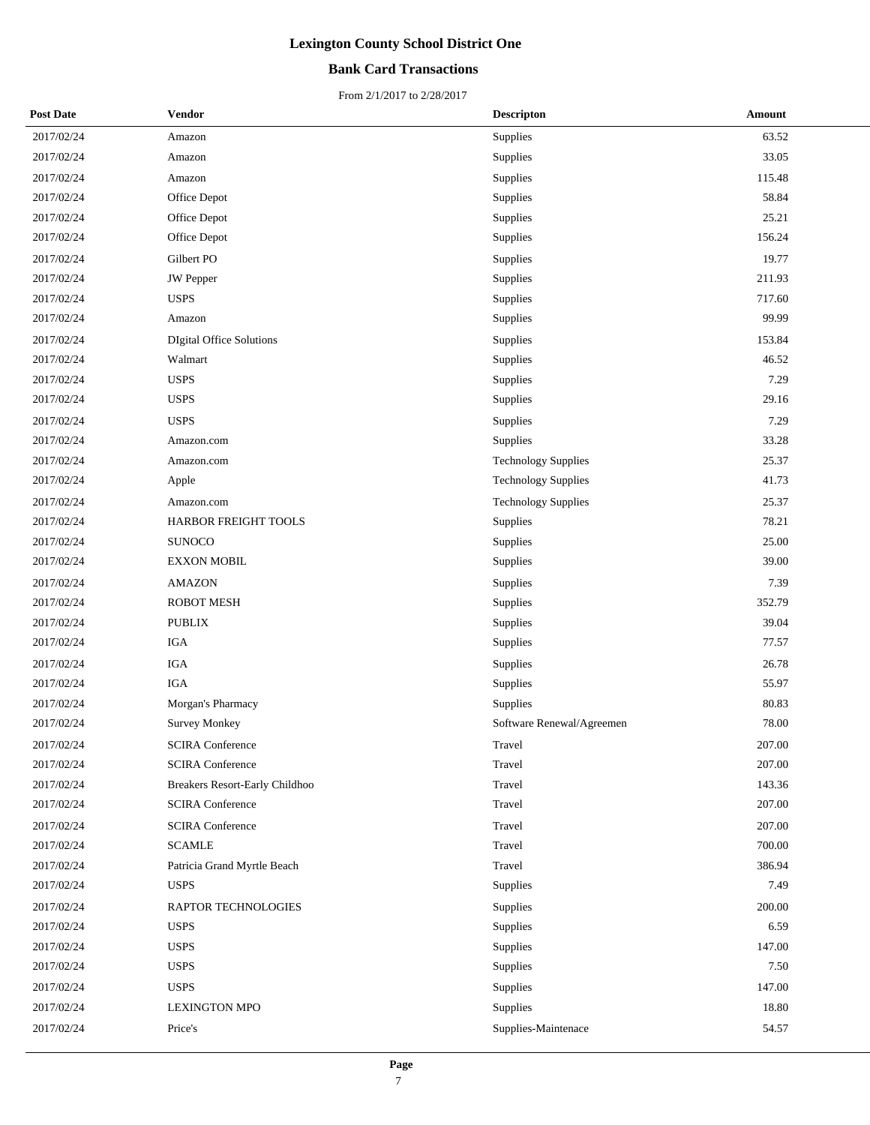## **Bank Card Transactions**

| <b>Post Date</b> | Vendor                          | <b>Descripton</b>          | Amount |
|------------------|---------------------------------|----------------------------|--------|
| 2017/02/24       | Amazon                          | Supplies                   | 63.52  |
| 2017/02/24       | Amazon                          | Supplies                   | 33.05  |
| 2017/02/24       | Amazon                          | Supplies                   | 115.48 |
| 2017/02/24       | Office Depot                    | Supplies                   | 58.84  |
| 2017/02/24       | Office Depot                    | Supplies                   | 25.21  |
| 2017/02/24       | Office Depot                    | Supplies                   | 156.24 |
| 2017/02/24       | Gilbert PO                      | Supplies                   | 19.77  |
| 2017/02/24       | JW Pepper                       | Supplies                   | 211.93 |
| 2017/02/24       | <b>USPS</b>                     | Supplies                   | 717.60 |
| 2017/02/24       | Amazon                          | Supplies                   | 99.99  |
| 2017/02/24       | <b>DIgital Office Solutions</b> | Supplies                   | 153.84 |
| 2017/02/24       | Walmart                         | Supplies                   | 46.52  |
| 2017/02/24       | <b>USPS</b>                     | Supplies                   | 7.29   |
| 2017/02/24       | <b>USPS</b>                     | Supplies                   | 29.16  |
| 2017/02/24       | <b>USPS</b>                     | Supplies                   | 7.29   |
| 2017/02/24       | Amazon.com                      | Supplies                   | 33.28  |
| 2017/02/24       | Amazon.com                      | <b>Technology Supplies</b> | 25.37  |
| 2017/02/24       | Apple                           | <b>Technology Supplies</b> | 41.73  |
| 2017/02/24       | Amazon.com                      | <b>Technology Supplies</b> | 25.37  |
| 2017/02/24       | HARBOR FREIGHT TOOLS            | Supplies                   | 78.21  |
| 2017/02/24       | <b>SUNOCO</b>                   | Supplies                   | 25.00  |
| 2017/02/24       | <b>EXXON MOBIL</b>              | Supplies                   | 39.00  |
| 2017/02/24       | <b>AMAZON</b>                   | Supplies                   | 7.39   |
| 2017/02/24       | <b>ROBOT MESH</b>               | Supplies                   | 352.79 |
| 2017/02/24       | <b>PUBLIX</b>                   | Supplies                   | 39.04  |
| 2017/02/24       | <b>IGA</b>                      | Supplies                   | 77.57  |
| 2017/02/24       | <b>IGA</b>                      | Supplies                   | 26.78  |
| 2017/02/24       | <b>IGA</b>                      | Supplies                   | 55.97  |
| 2017/02/24       | Morgan's Pharmacy               | Supplies                   | 80.83  |
| 2017/02/24       | <b>Survey Monkey</b>            | Software Renewal/Agreemen  | 78.00  |
| 2017/02/24       | <b>SCIRA Conference</b>         | Travel                     | 207.00 |
| 2017/02/24       | <b>SCIRA</b> Conference         | Travel                     | 207.00 |
| 2017/02/24       | Breakers Resort-Early Childhoo  | Travel                     | 143.36 |
| 2017/02/24       | <b>SCIRA Conference</b>         | Travel                     | 207.00 |
| 2017/02/24       | <b>SCIRA Conference</b>         | Travel                     | 207.00 |
| 2017/02/24       | <b>SCAMLE</b>                   | Travel                     | 700.00 |
| 2017/02/24       | Patricia Grand Myrtle Beach     | Travel                     | 386.94 |
| 2017/02/24       | <b>USPS</b>                     | Supplies                   | 7.49   |
| 2017/02/24       | RAPTOR TECHNOLOGIES             | Supplies                   | 200.00 |
| 2017/02/24       | <b>USPS</b>                     | Supplies                   | 6.59   |
| 2017/02/24       | <b>USPS</b>                     | Supplies                   | 147.00 |
| 2017/02/24       | <b>USPS</b>                     | Supplies                   | 7.50   |
| 2017/02/24       | <b>USPS</b>                     | Supplies                   | 147.00 |
| 2017/02/24       | <b>LEXINGTON MPO</b>            | Supplies                   | 18.80  |
| 2017/02/24       | Price's                         | Supplies-Maintenace        | 54.57  |
|                  |                                 |                            |        |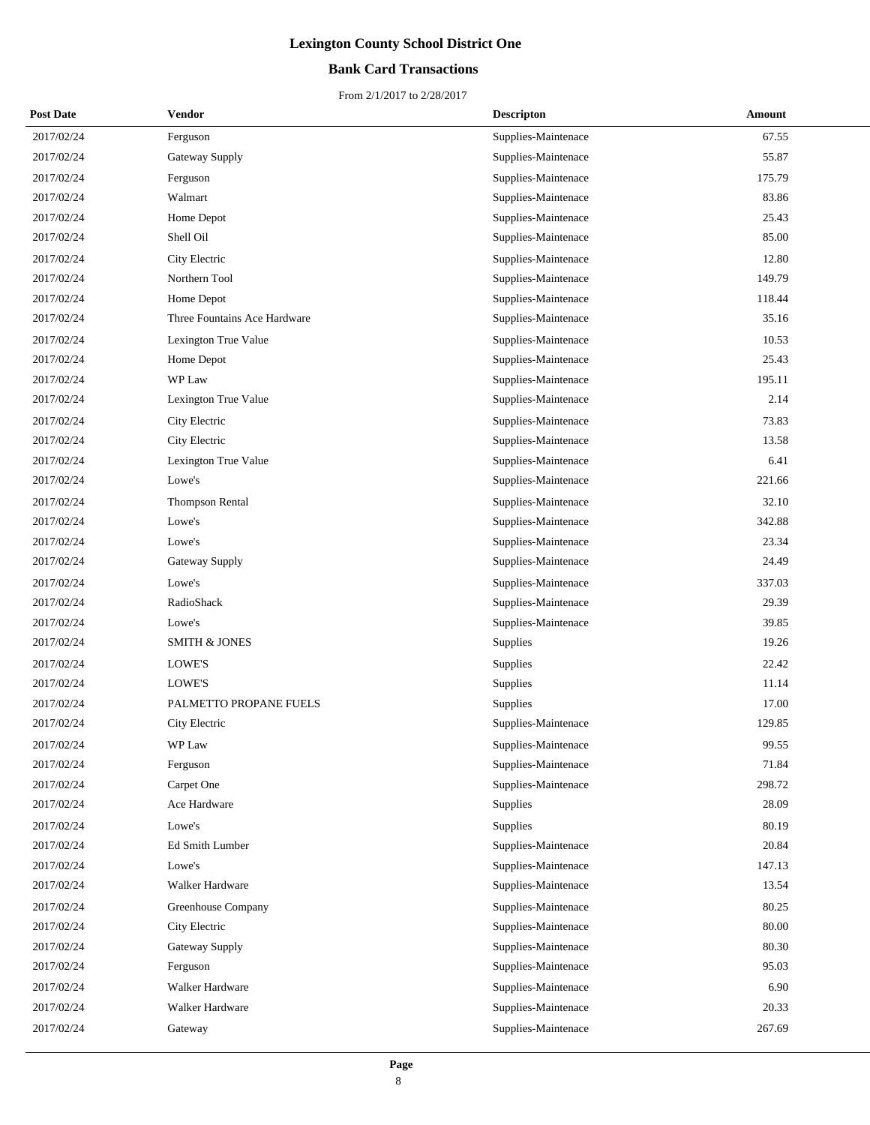## **Bank Card Transactions**

| <b>Post Date</b> | Vendor                       | <b>Descripton</b>   | Amount |
|------------------|------------------------------|---------------------|--------|
| 2017/02/24       | Ferguson                     | Supplies-Maintenace | 67.55  |
| 2017/02/24       | Gateway Supply               | Supplies-Maintenace | 55.87  |
| 2017/02/24       | Ferguson                     | Supplies-Maintenace | 175.79 |
| 2017/02/24       | Walmart                      | Supplies-Maintenace | 83.86  |
| 2017/02/24       | Home Depot                   | Supplies-Maintenace | 25.43  |
| 2017/02/24       | Shell Oil                    | Supplies-Maintenace | 85.00  |
| 2017/02/24       | City Electric                | Supplies-Maintenace | 12.80  |
| 2017/02/24       | Northern Tool                | Supplies-Maintenace | 149.79 |
| 2017/02/24       | Home Depot                   | Supplies-Maintenace | 118.44 |
| 2017/02/24       | Three Fountains Ace Hardware | Supplies-Maintenace | 35.16  |
| 2017/02/24       | Lexington True Value         | Supplies-Maintenace | 10.53  |
| 2017/02/24       | Home Depot                   | Supplies-Maintenace | 25.43  |
| 2017/02/24       | WP Law                       | Supplies-Maintenace | 195.11 |
| 2017/02/24       | Lexington True Value         | Supplies-Maintenace | 2.14   |
| 2017/02/24       | City Electric                | Supplies-Maintenace | 73.83  |
| 2017/02/24       | City Electric                | Supplies-Maintenace | 13.58  |
| 2017/02/24       | Lexington True Value         | Supplies-Maintenace | 6.41   |
| 2017/02/24       | Lowe's                       | Supplies-Maintenace | 221.66 |
| 2017/02/24       | Thompson Rental              | Supplies-Maintenace | 32.10  |
| 2017/02/24       | Lowe's                       | Supplies-Maintenace | 342.88 |
| 2017/02/24       | Lowe's                       | Supplies-Maintenace | 23.34  |
| 2017/02/24       | Gateway Supply               | Supplies-Maintenace | 24.49  |
| 2017/02/24       | Lowe's                       | Supplies-Maintenace | 337.03 |
| 2017/02/24       | RadioShack                   | Supplies-Maintenace | 29.39  |
| 2017/02/24       | Lowe's                       | Supplies-Maintenace | 39.85  |
| 2017/02/24       | <b>SMITH &amp; JONES</b>     | Supplies            | 19.26  |
| 2017/02/24       | LOWE'S                       | Supplies            | 22.42  |
| 2017/02/24       | LOWE'S                       | Supplies            | 11.14  |
| 2017/02/24       | PALMETTO PROPANE FUELS       | Supplies            | 17.00  |
| 2017/02/24       | City Electric                | Supplies-Maintenace | 129.85 |
| 2017/02/24       | WP Law                       | Supplies-Maintenace | 99.55  |
| 2017/02/24       | Ferguson                     | Supplies-Maintenace | 71.84  |
| 2017/02/24       | Carpet One                   | Supplies-Maintenace | 298.72 |
| 2017/02/24       | Ace Hardware                 | Supplies            | 28.09  |
| 2017/02/24       | Lowe's                       | Supplies            | 80.19  |
| 2017/02/24       | Ed Smith Lumber              | Supplies-Maintenace | 20.84  |
| 2017/02/24       | Lowe's                       | Supplies-Maintenace | 147.13 |
| 2017/02/24       | Walker Hardware              | Supplies-Maintenace | 13.54  |
| 2017/02/24       | Greenhouse Company           | Supplies-Maintenace | 80.25  |
| 2017/02/24       | City Electric                | Supplies-Maintenace | 80.00  |
| 2017/02/24       | Gateway Supply               | Supplies-Maintenace | 80.30  |
| 2017/02/24       | Ferguson                     | Supplies-Maintenace | 95.03  |
| 2017/02/24       | Walker Hardware              | Supplies-Maintenace | 6.90   |
| 2017/02/24       | Walker Hardware              | Supplies-Maintenace | 20.33  |
| 2017/02/24       | Gateway                      | Supplies-Maintenace | 267.69 |
|                  |                              |                     |        |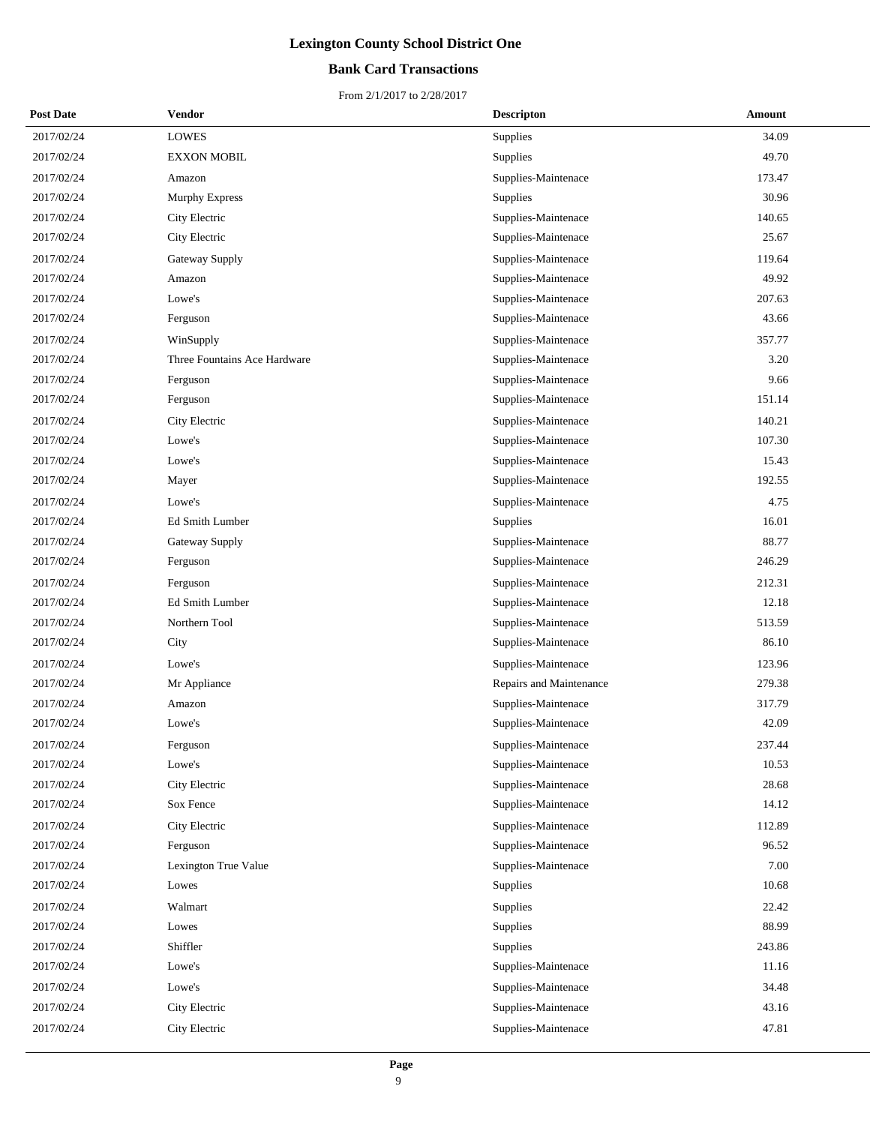## **Bank Card Transactions**

| <b>Post Date</b> | <b>Vendor</b>                | <b>Descripton</b>       | Amount |
|------------------|------------------------------|-------------------------|--------|
| 2017/02/24       | <b>LOWES</b>                 | Supplies                | 34.09  |
| 2017/02/24       | <b>EXXON MOBIL</b>           | <b>Supplies</b>         | 49.70  |
| 2017/02/24       | Amazon                       | Supplies-Maintenace     | 173.47 |
| 2017/02/24       | <b>Murphy Express</b>        | Supplies                | 30.96  |
| 2017/02/24       | City Electric                | Supplies-Maintenace     | 140.65 |
| 2017/02/24       | City Electric                | Supplies-Maintenace     | 25.67  |
| 2017/02/24       | Gateway Supply               | Supplies-Maintenace     | 119.64 |
| 2017/02/24       | Amazon                       | Supplies-Maintenace     | 49.92  |
| 2017/02/24       | Lowe's                       | Supplies-Maintenace     | 207.63 |
| 2017/02/24       | Ferguson                     | Supplies-Maintenace     | 43.66  |
| 2017/02/24       | WinSupply                    | Supplies-Maintenace     | 357.77 |
| 2017/02/24       | Three Fountains Ace Hardware | Supplies-Maintenace     | 3.20   |
| 2017/02/24       | Ferguson                     | Supplies-Maintenace     | 9.66   |
| 2017/02/24       | Ferguson                     | Supplies-Maintenace     | 151.14 |
| 2017/02/24       | City Electric                | Supplies-Maintenace     | 140.21 |
| 2017/02/24       | Lowe's                       | Supplies-Maintenace     | 107.30 |
| 2017/02/24       | Lowe's                       | Supplies-Maintenace     | 15.43  |
| 2017/02/24       | Mayer                        | Supplies-Maintenace     | 192.55 |
| 2017/02/24       | Lowe's                       | Supplies-Maintenace     | 4.75   |
| 2017/02/24       | <b>Ed Smith Lumber</b>       | Supplies                | 16.01  |
| 2017/02/24       | Gateway Supply               | Supplies-Maintenace     | 88.77  |
| 2017/02/24       | Ferguson                     | Supplies-Maintenace     | 246.29 |
| 2017/02/24       | Ferguson                     | Supplies-Maintenace     | 212.31 |
| 2017/02/24       | Ed Smith Lumber              | Supplies-Maintenace     | 12.18  |
| 2017/02/24       | Northern Tool                | Supplies-Maintenace     | 513.59 |
| 2017/02/24       | City                         | Supplies-Maintenace     | 86.10  |
| 2017/02/24       | Lowe's                       | Supplies-Maintenace     | 123.96 |
| 2017/02/24       | Mr Appliance                 | Repairs and Maintenance | 279.38 |
| 2017/02/24       | Amazon                       | Supplies-Maintenace     | 317.79 |
| 2017/02/24       | Lowe's                       | Supplies-Maintenace     | 42.09  |
| 2017/02/24       | Ferguson                     | Supplies-Maintenace     | 237.44 |
| 2017/02/24       | Lowe's                       | Supplies-Maintenace     | 10.53  |
| 2017/02/24       | City Electric                | Supplies-Maintenace     | 28.68  |
| 2017/02/24       | Sox Fence                    | Supplies-Maintenace     | 14.12  |
| 2017/02/24       | City Electric                | Supplies-Maintenace     | 112.89 |
| 2017/02/24       | Ferguson                     | Supplies-Maintenace     | 96.52  |
| 2017/02/24       | Lexington True Value         | Supplies-Maintenace     | 7.00   |
| 2017/02/24       | Lowes                        | Supplies                | 10.68  |
| 2017/02/24       | Walmart                      | Supplies                | 22.42  |
| 2017/02/24       | Lowes                        | Supplies                | 88.99  |
| 2017/02/24       | Shiffler                     | <b>Supplies</b>         | 243.86 |
| 2017/02/24       | Lowe's                       | Supplies-Maintenace     | 11.16  |
| 2017/02/24       | Lowe's                       | Supplies-Maintenace     | 34.48  |
| 2017/02/24       | City Electric                | Supplies-Maintenace     | 43.16  |
| 2017/02/24       | City Electric                | Supplies-Maintenace     | 47.81  |
|                  |                              |                         |        |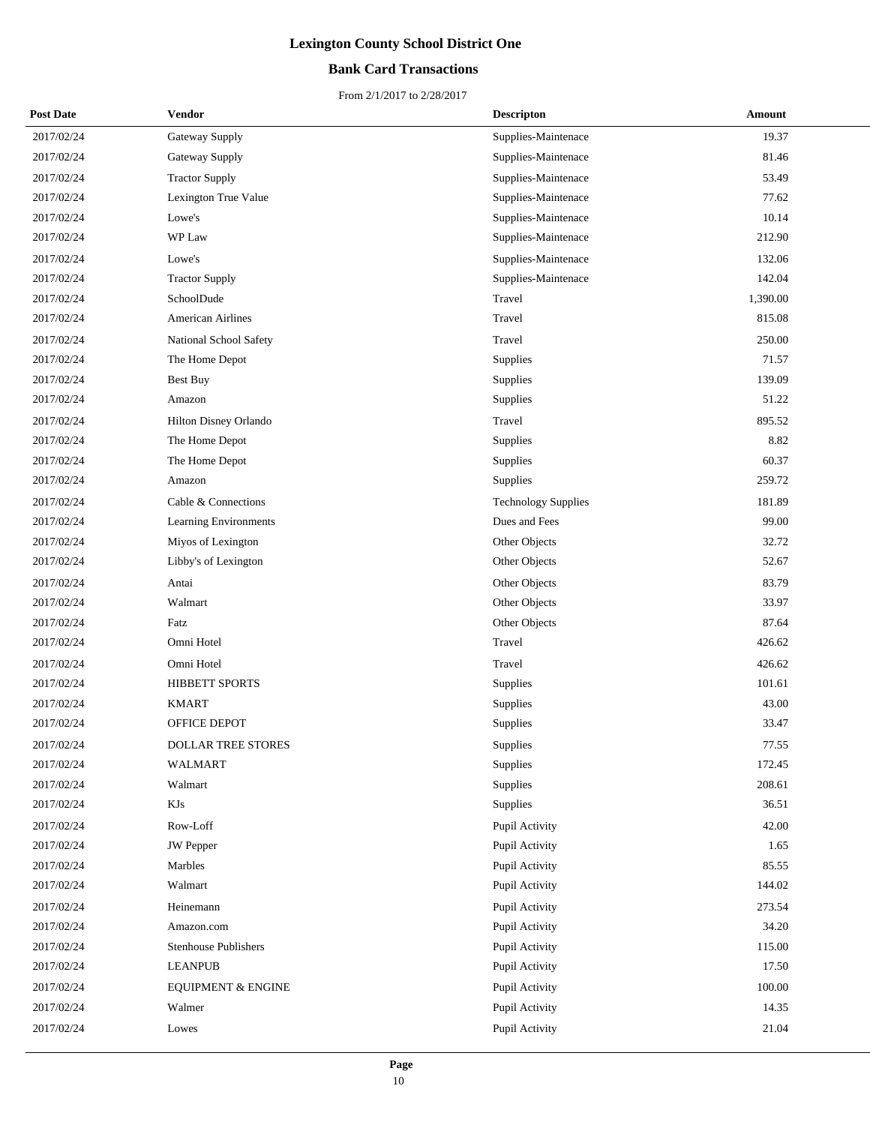## **Bank Card Transactions**

| <b>Post Date</b> | Vendor                        | <b>Descripton</b>          | Amount   |
|------------------|-------------------------------|----------------------------|----------|
| 2017/02/24       | Gateway Supply                | Supplies-Maintenace        | 19.37    |
| 2017/02/24       | Gateway Supply                | Supplies-Maintenace        | 81.46    |
| 2017/02/24       | <b>Tractor Supply</b>         | Supplies-Maintenace        | 53.49    |
| 2017/02/24       | Lexington True Value          | Supplies-Maintenace        | 77.62    |
| 2017/02/24       | Lowe's                        | Supplies-Maintenace        | 10.14    |
| 2017/02/24       | WP Law                        | Supplies-Maintenace        | 212.90   |
| 2017/02/24       | Lowe's                        | Supplies-Maintenace        | 132.06   |
| 2017/02/24       | <b>Tractor Supply</b>         | Supplies-Maintenace        | 142.04   |
| 2017/02/24       | SchoolDude                    | Travel                     | 1,390.00 |
| 2017/02/24       | <b>American Airlines</b>      | Travel                     | 815.08   |
| 2017/02/24       | National School Safety        | Travel                     | 250.00   |
| 2017/02/24       | The Home Depot                | Supplies                   | 71.57    |
| 2017/02/24       | Best Buy                      | Supplies                   | 139.09   |
| 2017/02/24       | Amazon                        | Supplies                   | 51.22    |
| 2017/02/24       | Hilton Disney Orlando         | Travel                     | 895.52   |
| 2017/02/24       | The Home Depot                | Supplies                   | 8.82     |
| 2017/02/24       | The Home Depot                | Supplies                   | 60.37    |
| 2017/02/24       | Amazon                        | Supplies                   | 259.72   |
| 2017/02/24       | Cable & Connections           | <b>Technology Supplies</b> | 181.89   |
| 2017/02/24       | <b>Learning Environments</b>  | Dues and Fees              | 99.00    |
| 2017/02/24       | Miyos of Lexington            | Other Objects              | 32.72    |
| 2017/02/24       | Libby's of Lexington          | Other Objects              | 52.67    |
| 2017/02/24       | Antai                         | Other Objects              | 83.79    |
| 2017/02/24       | Walmart                       | Other Objects              | 33.97    |
| 2017/02/24       | Fatz                          | Other Objects              | 87.64    |
| 2017/02/24       | Omni Hotel                    | Travel                     | 426.62   |
| 2017/02/24       | Omni Hotel                    | Travel                     | 426.62   |
| 2017/02/24       | <b>HIBBETT SPORTS</b>         | Supplies                   | 101.61   |
| 2017/02/24       | <b>KMART</b>                  | Supplies                   | 43.00    |
| 2017/02/24       | OFFICE DEPOT                  | Supplies                   | 33.47    |
| 2017/02/24       | <b>DOLLAR TREE STORES</b>     | Supplies                   | 77.55    |
| 2017/02/24       | WALMART                       | Supplies                   | 172.45   |
| 2017/02/24       | Walmart                       | Supplies                   | 208.61   |
| 2017/02/24       | KJs                           | Supplies                   | 36.51    |
| 2017/02/24       | Row-Loff                      | Pupil Activity             | 42.00    |
| 2017/02/24       | JW Pepper                     | Pupil Activity             | 1.65     |
| 2017/02/24       | Marbles                       | Pupil Activity             | 85.55    |
| 2017/02/24       | Walmart                       | Pupil Activity             | 144.02   |
| 2017/02/24       | Heinemann                     | Pupil Activity             | 273.54   |
| 2017/02/24       | Amazon.com                    | Pupil Activity             | 34.20    |
| 2017/02/24       | <b>Stenhouse Publishers</b>   | Pupil Activity             | 115.00   |
| 2017/02/24       | <b>LEANPUB</b>                | Pupil Activity             | 17.50    |
| 2017/02/24       | <b>EQUIPMENT &amp; ENGINE</b> | Pupil Activity             | 100.00   |
| 2017/02/24       | Walmer                        | Pupil Activity             | 14.35    |
| 2017/02/24       | Lowes                         | Pupil Activity             | 21.04    |
|                  |                               |                            |          |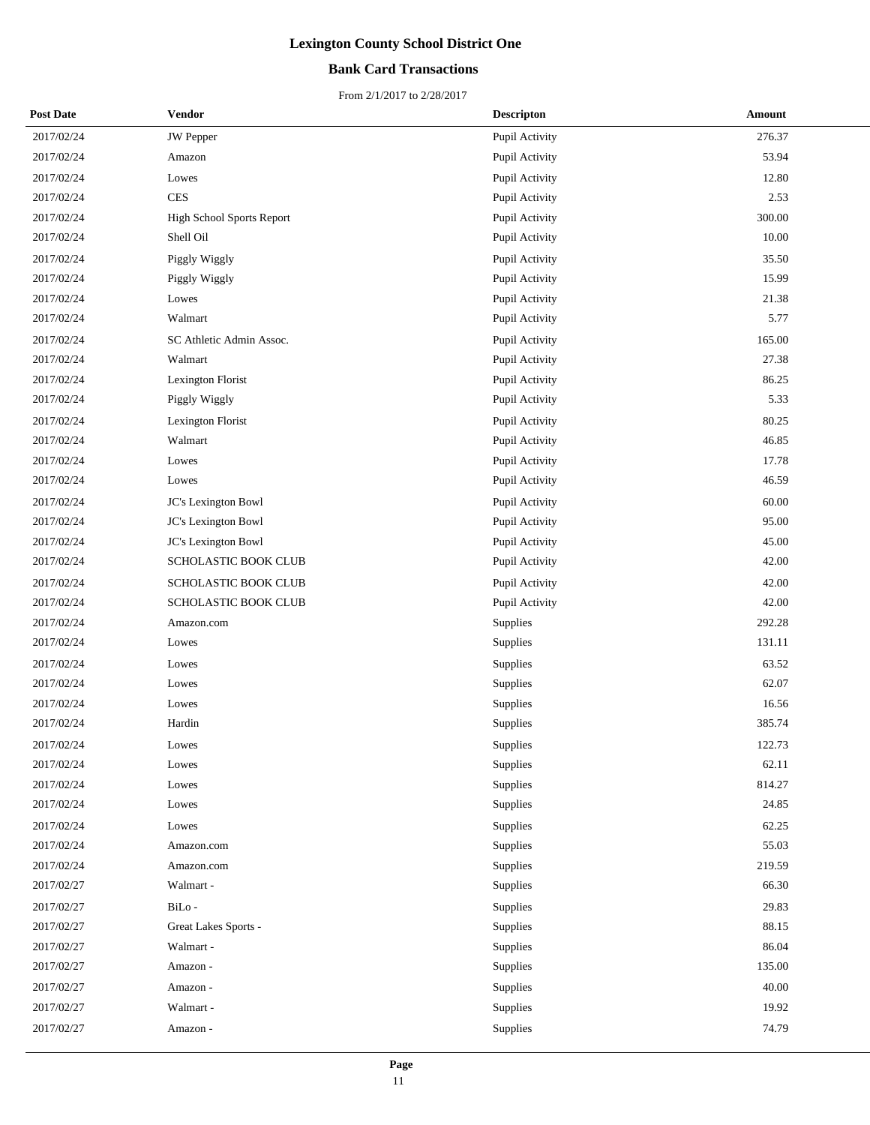## **Bank Card Transactions**

| <b>Post Date</b> | Vendor                    | <b>Descripton</b> | Amount |
|------------------|---------------------------|-------------------|--------|
| 2017/02/24       | <b>JW</b> Pepper          | Pupil Activity    | 276.37 |
| 2017/02/24       | Amazon                    | Pupil Activity    | 53.94  |
| 2017/02/24       | Lowes                     | Pupil Activity    | 12.80  |
| 2017/02/24       | $\mbox{CES}$              | Pupil Activity    | 2.53   |
| 2017/02/24       | High School Sports Report | Pupil Activity    | 300.00 |
| 2017/02/24       | Shell Oil                 | Pupil Activity    | 10.00  |
| 2017/02/24       | Piggly Wiggly             | Pupil Activity    | 35.50  |
| 2017/02/24       | Piggly Wiggly             | Pupil Activity    | 15.99  |
| 2017/02/24       | Lowes                     | Pupil Activity    | 21.38  |
| 2017/02/24       | Walmart                   | Pupil Activity    | 5.77   |
| 2017/02/24       | SC Athletic Admin Assoc.  | Pupil Activity    | 165.00 |
| 2017/02/24       | Walmart                   | Pupil Activity    | 27.38  |
| 2017/02/24       | Lexington Florist         | Pupil Activity    | 86.25  |
| 2017/02/24       | Piggly Wiggly             | Pupil Activity    | 5.33   |
| 2017/02/24       | Lexington Florist         | Pupil Activity    | 80.25  |
| 2017/02/24       | Walmart                   | Pupil Activity    | 46.85  |
| 2017/02/24       | Lowes                     | Pupil Activity    | 17.78  |
| 2017/02/24       | Lowes                     | Pupil Activity    | 46.59  |
| 2017/02/24       | JC's Lexington Bowl       | Pupil Activity    | 60.00  |
| 2017/02/24       | JC's Lexington Bowl       | Pupil Activity    | 95.00  |
| 2017/02/24       | JC's Lexington Bowl       | Pupil Activity    | 45.00  |
| 2017/02/24       | SCHOLASTIC BOOK CLUB      | Pupil Activity    | 42.00  |
| 2017/02/24       | SCHOLASTIC BOOK CLUB      | Pupil Activity    | 42.00  |
| 2017/02/24       | SCHOLASTIC BOOK CLUB      | Pupil Activity    | 42.00  |
| 2017/02/24       | Amazon.com                | Supplies          | 292.28 |
| 2017/02/24       | Lowes                     | Supplies          | 131.11 |
| 2017/02/24       | Lowes                     | Supplies          | 63.52  |
| 2017/02/24       | Lowes                     | Supplies          | 62.07  |
| 2017/02/24       | Lowes                     | Supplies          | 16.56  |
| 2017/02/24       | Hardin                    | Supplies          | 385.74 |
| 2017/02/24       | Lowes                     | Supplies          | 122.73 |
| 2017/02/24       | Lowes                     | <b>Supplies</b>   | 62.11  |
| 2017/02/24       | Lowes                     | Supplies          | 814.27 |
| 2017/02/24       | Lowes                     | Supplies          | 24.85  |
| 2017/02/24       | Lowes                     | Supplies          | 62.25  |
| 2017/02/24       | Amazon.com                | Supplies          | 55.03  |
| 2017/02/24       | Amazon.com                | Supplies          | 219.59 |
| 2017/02/27       | Walmart -                 | Supplies          | 66.30  |
| 2017/02/27       | BiLo-                     | Supplies          | 29.83  |
| 2017/02/27       | Great Lakes Sports -      | Supplies          | 88.15  |
| 2017/02/27       | Walmart -                 | Supplies          | 86.04  |
| 2017/02/27       | Amazon -                  | Supplies          | 135.00 |
| 2017/02/27       | Amazon -                  | Supplies          | 40.00  |
| 2017/02/27       | Walmart -                 | Supplies          | 19.92  |
| 2017/02/27       | Amazon -                  | Supplies          | 74.79  |
|                  |                           |                   |        |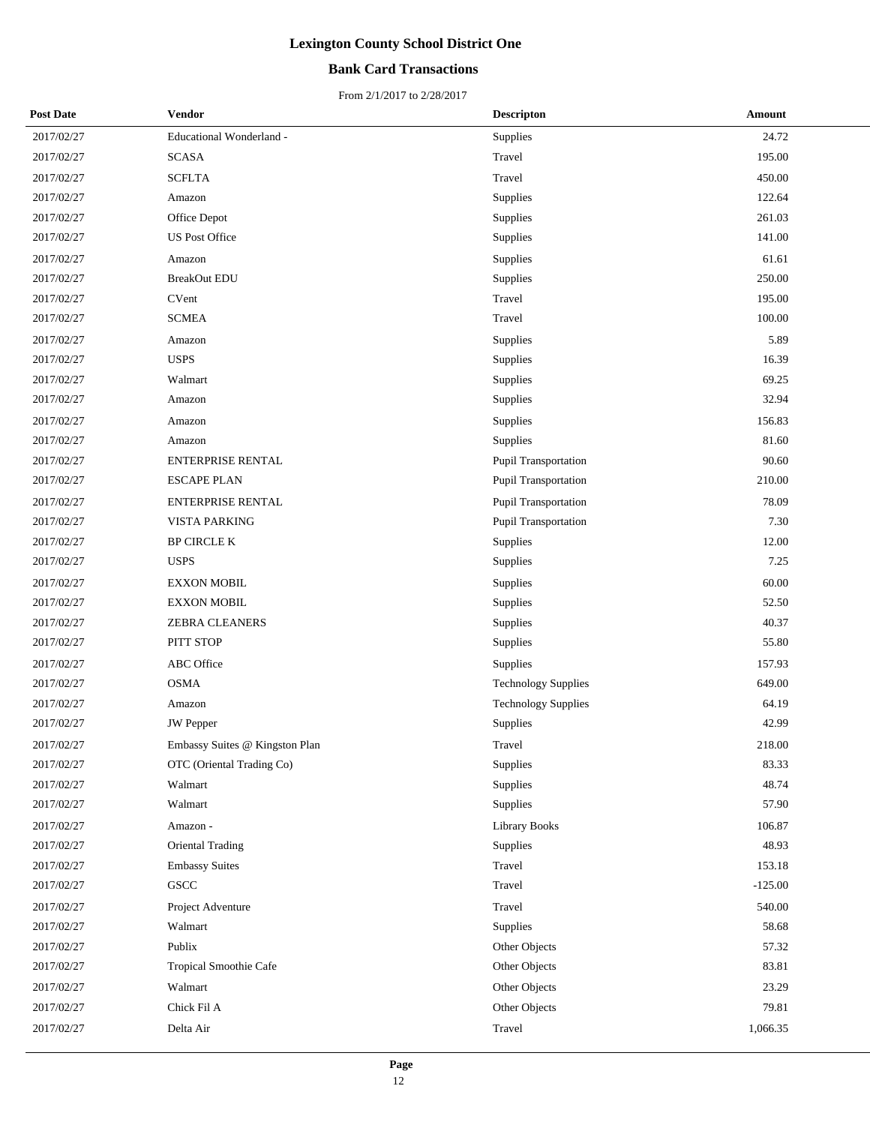## **Bank Card Transactions**

| <b>Post Date</b> | <b>Vendor</b>                  | <b>Descripton</b>          | Amount    |
|------------------|--------------------------------|----------------------------|-----------|
| 2017/02/27       | Educational Wonderland -       | Supplies                   | 24.72     |
| 2017/02/27       | <b>SCASA</b>                   | Travel                     | 195.00    |
| 2017/02/27       | <b>SCFLTA</b>                  | Travel                     | 450.00    |
| 2017/02/27       | Amazon                         | Supplies                   | 122.64    |
| 2017/02/27       | Office Depot                   | Supplies                   | 261.03    |
| 2017/02/27       | <b>US Post Office</b>          | Supplies                   | 141.00    |
| 2017/02/27       | Amazon                         | Supplies                   | 61.61     |
| 2017/02/27       | <b>BreakOut EDU</b>            | Supplies                   | 250.00    |
| 2017/02/27       | <b>CVent</b>                   | Travel                     | 195.00    |
| 2017/02/27       | <b>SCMEA</b>                   | Travel                     | 100.00    |
| 2017/02/27       | Amazon                         | Supplies                   | 5.89      |
| 2017/02/27       | <b>USPS</b>                    | Supplies                   | 16.39     |
| 2017/02/27       | Walmart                        | Supplies                   | 69.25     |
| 2017/02/27       | Amazon                         | Supplies                   | 32.94     |
| 2017/02/27       | Amazon                         | Supplies                   | 156.83    |
| 2017/02/27       | Amazon                         | Supplies                   | 81.60     |
| 2017/02/27       | ENTERPRISE RENTAL              | Pupil Transportation       | 90.60     |
| 2017/02/27       | <b>ESCAPE PLAN</b>             | Pupil Transportation       | 210.00    |
| 2017/02/27       | <b>ENTERPRISE RENTAL</b>       | Pupil Transportation       | 78.09     |
| 2017/02/27       | <b>VISTA PARKING</b>           | Pupil Transportation       | 7.30      |
| 2017/02/27       | <b>BP CIRCLE K</b>             | Supplies                   | 12.00     |
| 2017/02/27       | <b>USPS</b>                    | Supplies                   | 7.25      |
| 2017/02/27       | <b>EXXON MOBIL</b>             | Supplies                   | 60.00     |
| 2017/02/27       | <b>EXXON MOBIL</b>             | Supplies                   | 52.50     |
| 2017/02/27       | ZEBRA CLEANERS                 | Supplies                   | 40.37     |
| 2017/02/27       | PITT STOP                      | Supplies                   | 55.80     |
| 2017/02/27       | <b>ABC</b> Office              | Supplies                   | 157.93    |
| 2017/02/27       | <b>OSMA</b>                    | <b>Technology Supplies</b> | 649.00    |
| 2017/02/27       | Amazon                         | <b>Technology Supplies</b> | 64.19     |
| 2017/02/27       | <b>JW</b> Pepper               | Supplies                   | 42.99     |
| 2017/02/27       | Embassy Suites @ Kingston Plan | Travel                     | 218.00    |
| 2017/02/27       | OTC (Oriental Trading Co)      | Supplies                   | 83.33     |
| 2017/02/27       | Walmart                        | Supplies                   | 48.74     |
| 2017/02/27       | Walmart                        | Supplies                   | 57.90     |
| 2017/02/27       | Amazon -                       | <b>Library Books</b>       | 106.87    |
| 2017/02/27       | <b>Oriental Trading</b>        | Supplies                   | 48.93     |
| 2017/02/27       | <b>Embassy Suites</b>          | Travel                     | 153.18    |
| 2017/02/27       | GSCC                           | Travel                     | $-125.00$ |
| 2017/02/27       | Project Adventure              | Travel                     | 540.00    |
| 2017/02/27       | Walmart                        | Supplies                   | 58.68     |
| 2017/02/27       | Publix                         | Other Objects              | 57.32     |
| 2017/02/27       | Tropical Smoothie Cafe         | Other Objects              | 83.81     |
| 2017/02/27       | Walmart                        | Other Objects              | 23.29     |
| 2017/02/27       | Chick Fil A                    | Other Objects              | 79.81     |
| 2017/02/27       | Delta Air                      | Travel                     | 1,066.35  |
|                  |                                |                            |           |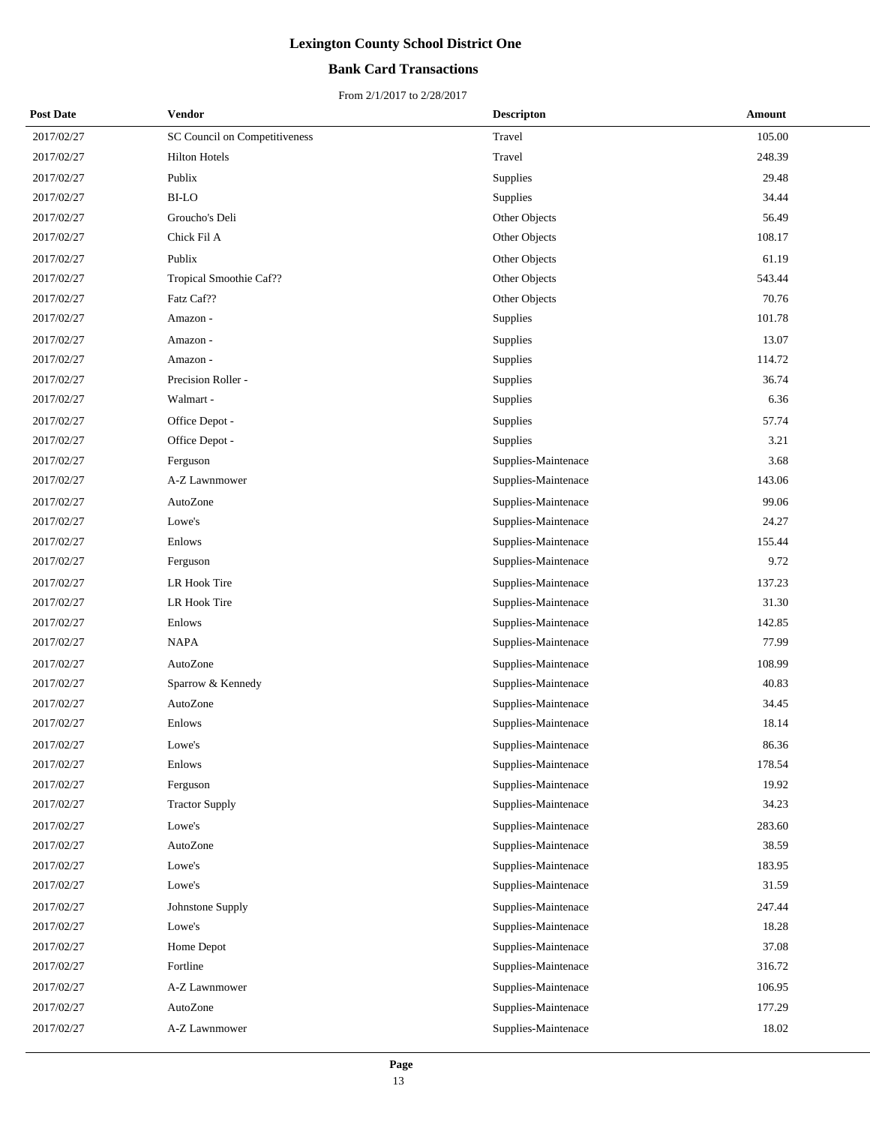## **Bank Card Transactions**

| <b>Post Date</b> | Vendor                        | <b>Descripton</b>   | Amount |
|------------------|-------------------------------|---------------------|--------|
| 2017/02/27       | SC Council on Competitiveness | Travel              | 105.00 |
| 2017/02/27       | <b>Hilton Hotels</b>          | Travel              | 248.39 |
| 2017/02/27       | Publix                        | Supplies            | 29.48  |
| 2017/02/27       | <b>BI-LO</b>                  | Supplies            | 34.44  |
| 2017/02/27       | Groucho's Deli                | Other Objects       | 56.49  |
| 2017/02/27       | Chick Fil A                   | Other Objects       | 108.17 |
| 2017/02/27       | Publix                        | Other Objects       | 61.19  |
| 2017/02/27       | Tropical Smoothie Caf??       | Other Objects       | 543.44 |
| 2017/02/27       | Fatz Caf??                    | Other Objects       | 70.76  |
| 2017/02/27       | Amazon -                      | Supplies            | 101.78 |
| 2017/02/27       | Amazon -                      | Supplies            | 13.07  |
| 2017/02/27       | Amazon -                      | Supplies            | 114.72 |
| 2017/02/27       | Precision Roller -            | Supplies            | 36.74  |
| 2017/02/27       | Walmart -                     | Supplies            | 6.36   |
| 2017/02/27       | Office Depot -                | Supplies            | 57.74  |
| 2017/02/27       | Office Depot -                | Supplies            | 3.21   |
| 2017/02/27       | Ferguson                      | Supplies-Maintenace | 3.68   |
| 2017/02/27       | A-Z Lawnmower                 | Supplies-Maintenace | 143.06 |
| 2017/02/27       | AutoZone                      | Supplies-Maintenace | 99.06  |
| 2017/02/27       | Lowe's                        | Supplies-Maintenace | 24.27  |
| 2017/02/27       | Enlows                        | Supplies-Maintenace | 155.44 |
| 2017/02/27       | Ferguson                      | Supplies-Maintenace | 9.72   |
| 2017/02/27       | LR Hook Tire                  | Supplies-Maintenace | 137.23 |
| 2017/02/27       | LR Hook Tire                  | Supplies-Maintenace | 31.30  |
| 2017/02/27       | Enlows                        | Supplies-Maintenace | 142.85 |
| 2017/02/27       | <b>NAPA</b>                   | Supplies-Maintenace | 77.99  |
| 2017/02/27       | AutoZone                      | Supplies-Maintenace | 108.99 |
| 2017/02/27       | Sparrow & Kennedy             | Supplies-Maintenace | 40.83  |
| 2017/02/27       | AutoZone                      | Supplies-Maintenace | 34.45  |
| 2017/02/27       | Enlows                        | Supplies-Maintenace | 18.14  |
| 2017/02/27       | Lowe's                        | Supplies-Maintenace | 86.36  |
| 2017/02/27       | Enlows                        | Supplies-Maintenace | 178.54 |
| 2017/02/27       | Ferguson                      | Supplies-Maintenace | 19.92  |
| 2017/02/27       | <b>Tractor Supply</b>         | Supplies-Maintenace | 34.23  |
| 2017/02/27       | Lowe's                        | Supplies-Maintenace | 283.60 |
| 2017/02/27       | AutoZone                      | Supplies-Maintenace | 38.59  |
| 2017/02/27       | Lowe's                        | Supplies-Maintenace | 183.95 |
| 2017/02/27       | Lowe's                        | Supplies-Maintenace | 31.59  |
| 2017/02/27       | Johnstone Supply              | Supplies-Maintenace | 247.44 |
| 2017/02/27       | Lowe's                        | Supplies-Maintenace | 18.28  |
| 2017/02/27       | Home Depot                    | Supplies-Maintenace | 37.08  |
| 2017/02/27       | Fortline                      | Supplies-Maintenace | 316.72 |
| 2017/02/27       | A-Z Lawnmower                 | Supplies-Maintenace | 106.95 |
| 2017/02/27       | AutoZone                      | Supplies-Maintenace | 177.29 |
| 2017/02/27       | A-Z Lawnmower                 | Supplies-Maintenace | 18.02  |
|                  |                               |                     |        |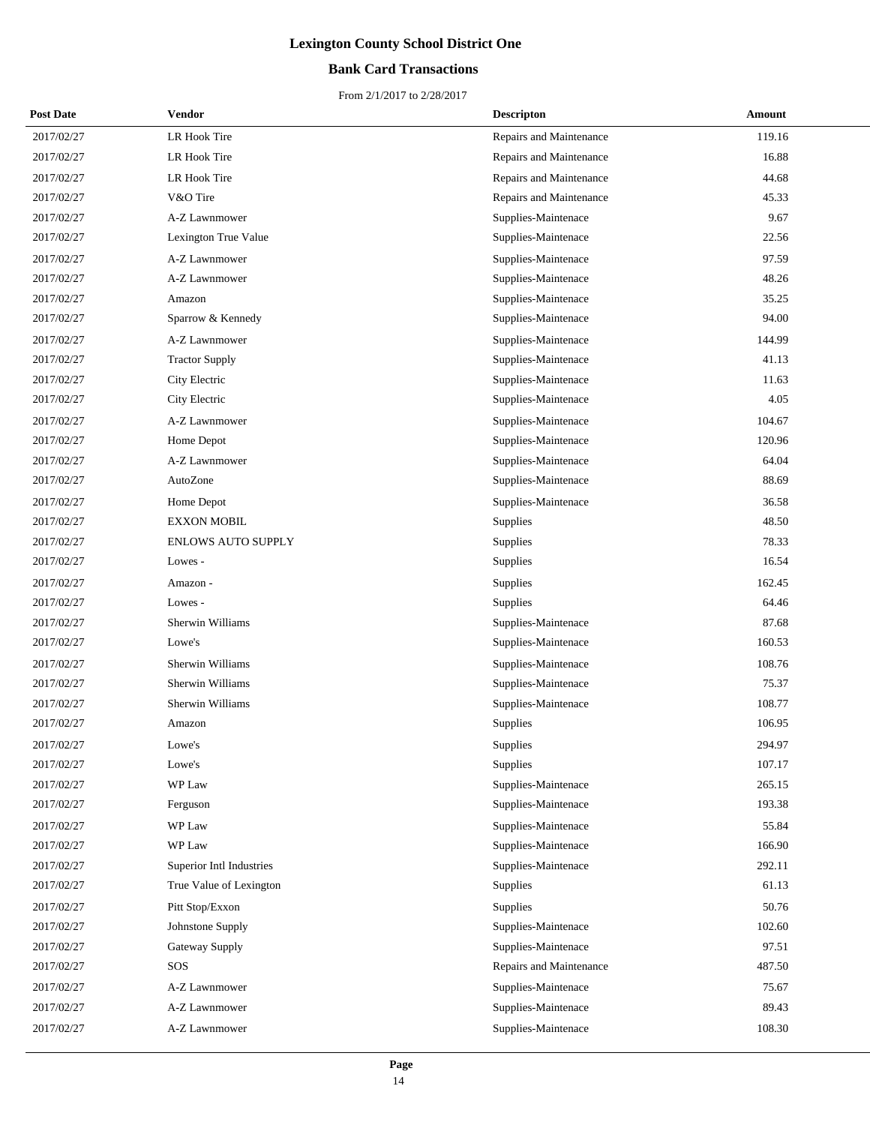## **Bank Card Transactions**

| <b>Post Date</b> | Vendor                    | <b>Descripton</b>       | Amount |
|------------------|---------------------------|-------------------------|--------|
| 2017/02/27       | LR Hook Tire              | Repairs and Maintenance | 119.16 |
| 2017/02/27       | LR Hook Tire              | Repairs and Maintenance | 16.88  |
| 2017/02/27       | LR Hook Tire              | Repairs and Maintenance | 44.68  |
| 2017/02/27       | V&O Tire                  | Repairs and Maintenance | 45.33  |
| 2017/02/27       | A-Z Lawnmower             | Supplies-Maintenace     | 9.67   |
| 2017/02/27       | Lexington True Value      | Supplies-Maintenace     | 22.56  |
| 2017/02/27       | A-Z Lawnmower             | Supplies-Maintenace     | 97.59  |
| 2017/02/27       | A-Z Lawnmower             | Supplies-Maintenace     | 48.26  |
| 2017/02/27       | Amazon                    | Supplies-Maintenace     | 35.25  |
| 2017/02/27       | Sparrow & Kennedy         | Supplies-Maintenace     | 94.00  |
| 2017/02/27       | A-Z Lawnmower             | Supplies-Maintenace     | 144.99 |
| 2017/02/27       | <b>Tractor Supply</b>     | Supplies-Maintenace     | 41.13  |
| 2017/02/27       | City Electric             | Supplies-Maintenace     | 11.63  |
| 2017/02/27       | City Electric             | Supplies-Maintenace     | 4.05   |
| 2017/02/27       | A-Z Lawnmower             | Supplies-Maintenace     | 104.67 |
| 2017/02/27       | Home Depot                | Supplies-Maintenace     | 120.96 |
| 2017/02/27       | A-Z Lawnmower             | Supplies-Maintenace     | 64.04  |
| 2017/02/27       | AutoZone                  | Supplies-Maintenace     | 88.69  |
| 2017/02/27       | Home Depot                | Supplies-Maintenace     | 36.58  |
| 2017/02/27       | <b>EXXON MOBIL</b>        | Supplies                | 48.50  |
| 2017/02/27       | <b>ENLOWS AUTO SUPPLY</b> | Supplies                | 78.33  |
| 2017/02/27       | Lowes -                   | Supplies                | 16.54  |
| 2017/02/27       | Amazon -                  | Supplies                | 162.45 |
| 2017/02/27       | Lowes -                   | Supplies                | 64.46  |
| 2017/02/27       | Sherwin Williams          | Supplies-Maintenace     | 87.68  |
| 2017/02/27       | Lowe's                    | Supplies-Maintenace     | 160.53 |
| 2017/02/27       | Sherwin Williams          | Supplies-Maintenace     | 108.76 |
| 2017/02/27       | Sherwin Williams          | Supplies-Maintenace     | 75.37  |
| 2017/02/27       | Sherwin Williams          | Supplies-Maintenace     | 108.77 |
| 2017/02/27       | Amazon                    | Supplies                | 106.95 |
| 2017/02/27       | Lowe's                    | Supplies                | 294.97 |
| 2017/02/27       | Lowe's                    | Supplies                | 107.17 |
| 2017/02/27       | WP Law                    | Supplies-Maintenace     | 265.15 |
| 2017/02/27       | Ferguson                  | Supplies-Maintenace     | 193.38 |
| 2017/02/27       | WP Law                    | Supplies-Maintenace     | 55.84  |
| 2017/02/27       | WP Law                    | Supplies-Maintenace     | 166.90 |
| 2017/02/27       | Superior Intl Industries  | Supplies-Maintenace     | 292.11 |
| 2017/02/27       | True Value of Lexington   | Supplies                | 61.13  |
| 2017/02/27       | Pitt Stop/Exxon           | Supplies                | 50.76  |
| 2017/02/27       | Johnstone Supply          | Supplies-Maintenace     | 102.60 |
| 2017/02/27       | Gateway Supply            | Supplies-Maintenace     | 97.51  |
| 2017/02/27       | SOS                       | Repairs and Maintenance | 487.50 |
| 2017/02/27       | A-Z Lawnmower             | Supplies-Maintenace     | 75.67  |
| 2017/02/27       | A-Z Lawnmower             | Supplies-Maintenace     | 89.43  |
| 2017/02/27       | A-Z Lawnmower             | Supplies-Maintenace     | 108.30 |
|                  |                           |                         |        |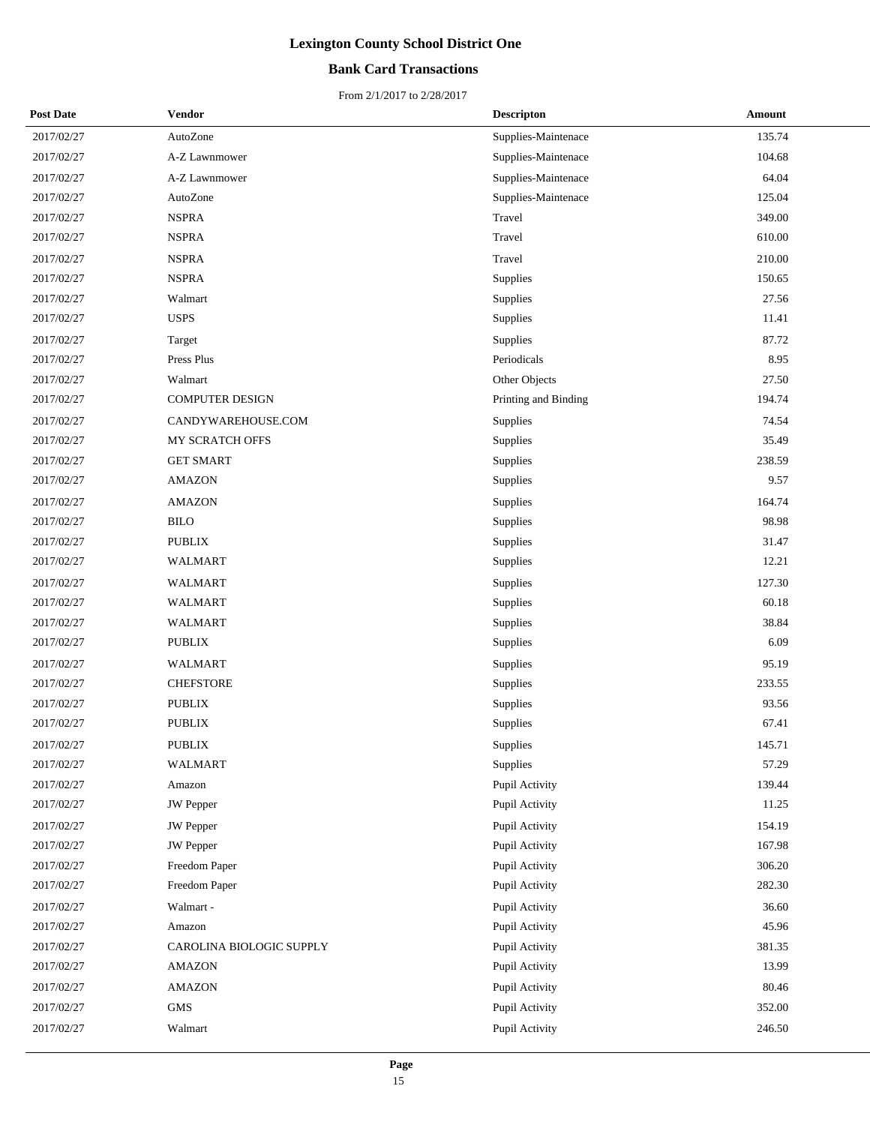## **Bank Card Transactions**

| <b>Post Date</b> | Vendor                   | <b>Descripton</b>    | <b>Amount</b> |
|------------------|--------------------------|----------------------|---------------|
| 2017/02/27       | AutoZone                 | Supplies-Maintenace  | 135.74        |
| 2017/02/27       | A-Z Lawnmower            | Supplies-Maintenace  | 104.68        |
| 2017/02/27       | A-Z Lawnmower            | Supplies-Maintenace  | 64.04         |
| 2017/02/27       | AutoZone                 | Supplies-Maintenace  | 125.04        |
| 2017/02/27       | <b>NSPRA</b>             | Travel               | 349.00        |
| 2017/02/27       | <b>NSPRA</b>             | Travel               | 610.00        |
| 2017/02/27       | <b>NSPRA</b>             | Travel               | 210.00        |
| 2017/02/27       | <b>NSPRA</b>             | Supplies             | 150.65        |
| 2017/02/27       | Walmart                  | Supplies             | 27.56         |
| 2017/02/27       | <b>USPS</b>              | Supplies             | 11.41         |
| 2017/02/27       | Target                   | Supplies             | 87.72         |
| 2017/02/27       | Press Plus               | Periodicals          | 8.95          |
| 2017/02/27       | Walmart                  | Other Objects        | 27.50         |
| 2017/02/27       | COMPUTER DESIGN          | Printing and Binding | 194.74        |
| 2017/02/27       | CANDYWAREHOUSE.COM       | Supplies             | 74.54         |
| 2017/02/27       | MY SCRATCH OFFS          | Supplies             | 35.49         |
| 2017/02/27       | <b>GET SMART</b>         | Supplies             | 238.59        |
| 2017/02/27       | <b>AMAZON</b>            | Supplies             | 9.57          |
| 2017/02/27       | <b>AMAZON</b>            | Supplies             | 164.74        |
| 2017/02/27       | <b>BILO</b>              | Supplies             | 98.98         |
| 2017/02/27       | <b>PUBLIX</b>            | Supplies             | 31.47         |
| 2017/02/27       | WALMART                  | Supplies             | 12.21         |
| 2017/02/27       | WALMART                  | Supplies             | 127.30        |
| 2017/02/27       | <b>WALMART</b>           | Supplies             | 60.18         |
| 2017/02/27       | WALMART                  | Supplies             | 38.84         |
| 2017/02/27       | PUBLIX                   | Supplies             | 6.09          |
| 2017/02/27       | WALMART                  | Supplies             | 95.19         |
| 2017/02/27       | <b>CHEFSTORE</b>         | Supplies             | 233.55        |
| 2017/02/27       | <b>PUBLIX</b>            | Supplies             | 93.56         |
| 2017/02/27       | <b>PUBLIX</b>            | Supplies             | 67.41         |
| 2017/02/27       | <b>PUBLIX</b>            | Supplies             | 145.71        |
| 2017/02/27       | WALMART                  | Supplies             | 57.29         |
| 2017/02/27       | Amazon                   | Pupil Activity       | 139.44        |
| 2017/02/27       | JW Pepper                | Pupil Activity       | 11.25         |
| 2017/02/27       | JW Pepper                | Pupil Activity       | 154.19        |
| 2017/02/27       | <b>JW</b> Pepper         | Pupil Activity       | 167.98        |
| 2017/02/27       | Freedom Paper            | Pupil Activity       | 306.20        |
| 2017/02/27       | Freedom Paper            | Pupil Activity       | 282.30        |
| 2017/02/27       | Walmart -                | Pupil Activity       | 36.60         |
| 2017/02/27       | Amazon                   | Pupil Activity       | 45.96         |
| 2017/02/27       | CAROLINA BIOLOGIC SUPPLY | Pupil Activity       | 381.35        |
| 2017/02/27       | <b>AMAZON</b>            | Pupil Activity       | 13.99         |
| 2017/02/27       | <b>AMAZON</b>            | Pupil Activity       | 80.46         |
| 2017/02/27       | GMS                      | Pupil Activity       | 352.00        |
| 2017/02/27       | Walmart                  | Pupil Activity       | 246.50        |
|                  |                          |                      |               |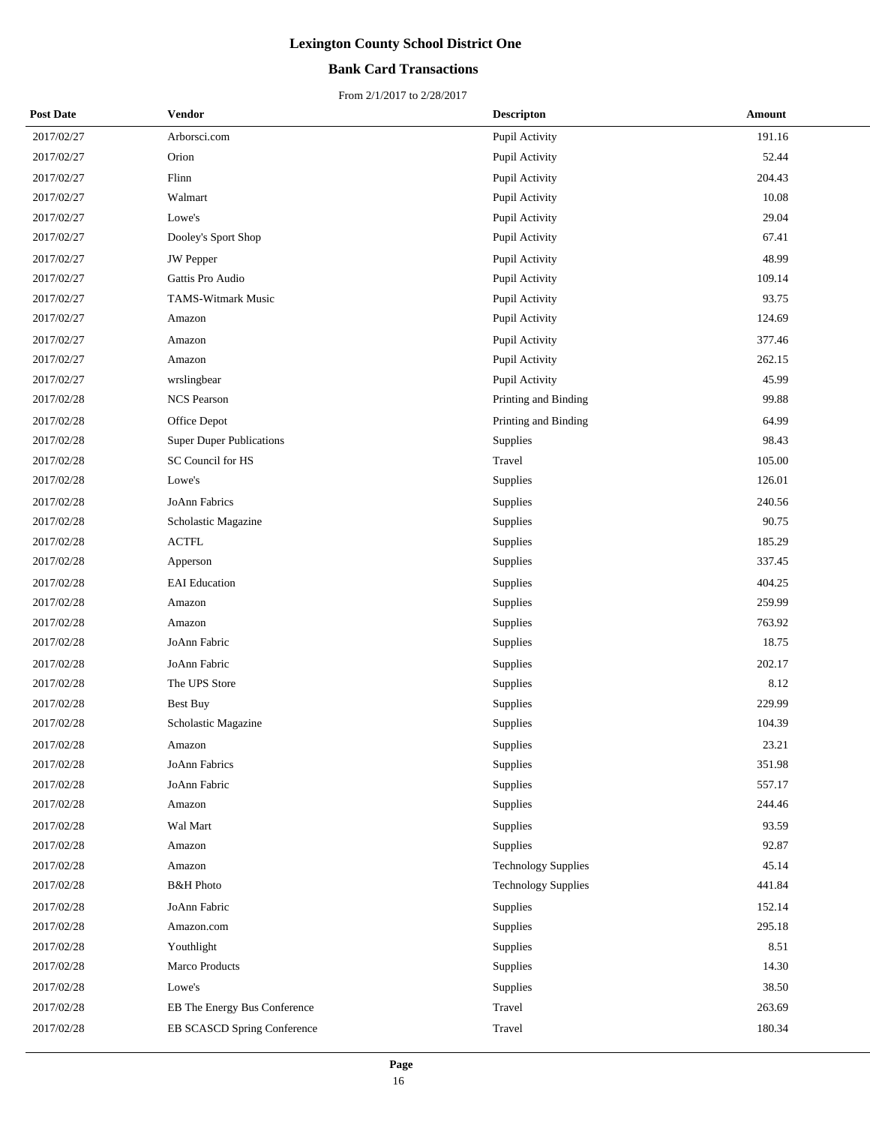## **Bank Card Transactions**

| <b>Post Date</b> | <b>Vendor</b>                   | <b>Descripton</b>          | Amount |
|------------------|---------------------------------|----------------------------|--------|
| 2017/02/27       | Arborsci.com                    | Pupil Activity             | 191.16 |
| 2017/02/27       | Orion                           | Pupil Activity             | 52.44  |
| 2017/02/27       | Flinn                           | Pupil Activity             | 204.43 |
| 2017/02/27       | Walmart                         | Pupil Activity             | 10.08  |
| 2017/02/27       | Lowe's                          | Pupil Activity             | 29.04  |
| 2017/02/27       | Dooley's Sport Shop             | Pupil Activity             | 67.41  |
| 2017/02/27       | JW Pepper                       | Pupil Activity             | 48.99  |
| 2017/02/27       | Gattis Pro Audio                | Pupil Activity             | 109.14 |
| 2017/02/27       | TAMS-Witmark Music              | Pupil Activity             | 93.75  |
| 2017/02/27       | Amazon                          | Pupil Activity             | 124.69 |
| 2017/02/27       | Amazon                          | Pupil Activity             | 377.46 |
| 2017/02/27       | Amazon                          | Pupil Activity             | 262.15 |
| 2017/02/27       | wrslingbear                     | Pupil Activity             | 45.99  |
| 2017/02/28       | <b>NCS Pearson</b>              | Printing and Binding       | 99.88  |
| 2017/02/28       | Office Depot                    | Printing and Binding       | 64.99  |
| 2017/02/28       | <b>Super Duper Publications</b> | Supplies                   | 98.43  |
| 2017/02/28       | SC Council for HS               | Travel                     | 105.00 |
| 2017/02/28       | Lowe's                          | Supplies                   | 126.01 |
| 2017/02/28       | JoAnn Fabrics                   | Supplies                   | 240.56 |
| 2017/02/28       | Scholastic Magazine             | Supplies                   | 90.75  |
| 2017/02/28       | <b>ACTFL</b>                    | Supplies                   | 185.29 |
| 2017/02/28       | Apperson                        | Supplies                   | 337.45 |
| 2017/02/28       | <b>EAI</b> Education            | Supplies                   | 404.25 |
| 2017/02/28       | Amazon                          | Supplies                   | 259.99 |
| 2017/02/28       | Amazon                          | Supplies                   | 763.92 |
| 2017/02/28       | JoAnn Fabric                    | Supplies                   | 18.75  |
| 2017/02/28       | JoAnn Fabric                    | Supplies                   | 202.17 |
| 2017/02/28       | The UPS Store                   | Supplies                   | 8.12   |
| 2017/02/28       | Best Buy                        | Supplies                   | 229.99 |
| 2017/02/28       | Scholastic Magazine             | Supplies                   | 104.39 |
| 2017/02/28       | Amazon                          | Supplies                   | 23.21  |
| 2017/02/28       | JoAnn Fabrics                   | Supplies                   | 351.98 |
| 2017/02/28       | JoAnn Fabric                    | Supplies                   | 557.17 |
| 2017/02/28       | Amazon                          | Supplies                   | 244.46 |
| 2017/02/28       | Wal Mart                        | Supplies                   | 93.59  |
| 2017/02/28       | Amazon                          | Supplies                   | 92.87  |
| 2017/02/28       | Amazon                          | <b>Technology Supplies</b> | 45.14  |
| 2017/02/28       | <b>B&amp;H</b> Photo            | <b>Technology Supplies</b> | 441.84 |
| 2017/02/28       | JoAnn Fabric                    | Supplies                   | 152.14 |
| 2017/02/28       | Amazon.com                      | Supplies                   | 295.18 |
| 2017/02/28       | Youthlight                      | Supplies                   | 8.51   |
| 2017/02/28       | Marco Products                  | Supplies                   | 14.30  |
| 2017/02/28       | Lowe's                          | Supplies                   | 38.50  |
| 2017/02/28       | EB The Energy Bus Conference    | Travel                     | 263.69 |
| 2017/02/28       | EB SCASCD Spring Conference     | Travel                     | 180.34 |
|                  |                                 |                            |        |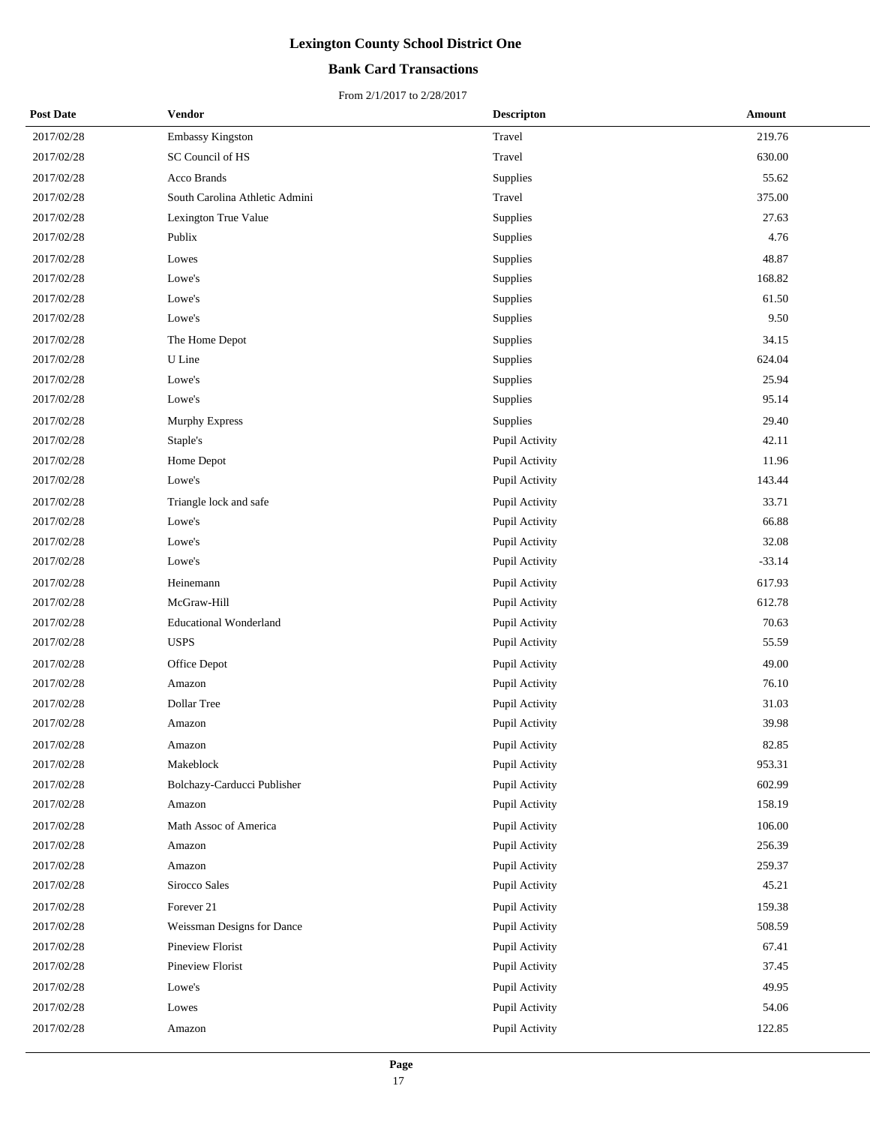## **Bank Card Transactions**

| <b>Post Date</b> | Vendor                         | <b>Descripton</b> | Amount   |
|------------------|--------------------------------|-------------------|----------|
| 2017/02/28       | Embassy Kingston               | Travel            | 219.76   |
| 2017/02/28       | SC Council of HS               | Travel            | 630.00   |
| 2017/02/28       | Acco Brands                    | Supplies          | 55.62    |
| 2017/02/28       | South Carolina Athletic Admini | Travel            | 375.00   |
| 2017/02/28       | Lexington True Value           | Supplies          | 27.63    |
| 2017/02/28       | Publix                         | Supplies          | 4.76     |
| 2017/02/28       | Lowes                          | Supplies          | 48.87    |
| 2017/02/28       | Lowe's                         | Supplies          | 168.82   |
| 2017/02/28       | Lowe's                         | Supplies          | 61.50    |
| 2017/02/28       | Lowe's                         | Supplies          | 9.50     |
| 2017/02/28       | The Home Depot                 | Supplies          | 34.15    |
| 2017/02/28       | U Line                         | Supplies          | 624.04   |
| 2017/02/28       | Lowe's                         | Supplies          | 25.94    |
| 2017/02/28       | Lowe's                         | Supplies          | 95.14    |
| 2017/02/28       | Murphy Express                 | Supplies          | 29.40    |
| 2017/02/28       | Staple's                       | Pupil Activity    | 42.11    |
| 2017/02/28       | Home Depot                     | Pupil Activity    | 11.96    |
| 2017/02/28       | Lowe's                         | Pupil Activity    | 143.44   |
| 2017/02/28       | Triangle lock and safe         | Pupil Activity    | 33.71    |
| 2017/02/28       | Lowe's                         | Pupil Activity    | 66.88    |
| 2017/02/28       | Lowe's                         | Pupil Activity    | 32.08    |
| 2017/02/28       | Lowe's                         | Pupil Activity    | $-33.14$ |
| 2017/02/28       | Heinemann                      | Pupil Activity    | 617.93   |
| 2017/02/28       | McGraw-Hill                    | Pupil Activity    | 612.78   |
| 2017/02/28       | <b>Educational Wonderland</b>  | Pupil Activity    | 70.63    |
| 2017/02/28       | <b>USPS</b>                    | Pupil Activity    | 55.59    |
| 2017/02/28       | Office Depot                   | Pupil Activity    | 49.00    |
| 2017/02/28       | Amazon                         | Pupil Activity    | 76.10    |
| 2017/02/28       | Dollar Tree                    | Pupil Activity    | 31.03    |
| 2017/02/28       | Amazon                         | Pupil Activity    | 39.98    |
| 2017/02/28       | Amazon                         | Pupil Activity    | 82.85    |
| 2017/02/28       | Makeblock                      | Pupil Activity    | 953.31   |
| 2017/02/28       | Bolchazy-Carducci Publisher    | Pupil Activity    | 602.99   |
| 2017/02/28       | Amazon                         | Pupil Activity    | 158.19   |
| 2017/02/28       | Math Assoc of America          | Pupil Activity    | 106.00   |
| 2017/02/28       | Amazon                         | Pupil Activity    | 256.39   |
| 2017/02/28       | Amazon                         | Pupil Activity    | 259.37   |
| 2017/02/28       | Sirocco Sales                  | Pupil Activity    | 45.21    |
| 2017/02/28       | Forever 21                     | Pupil Activity    | 159.38   |
| 2017/02/28       | Weissman Designs for Dance     | Pupil Activity    | 508.59   |
| 2017/02/28       | Pineview Florist               | Pupil Activity    | 67.41    |
| 2017/02/28       | Pineview Florist               | Pupil Activity    | 37.45    |
| 2017/02/28       | Lowe's                         | Pupil Activity    | 49.95    |
| 2017/02/28       | Lowes                          | Pupil Activity    | 54.06    |
| 2017/02/28       | Amazon                         | Pupil Activity    | 122.85   |
|                  |                                |                   |          |